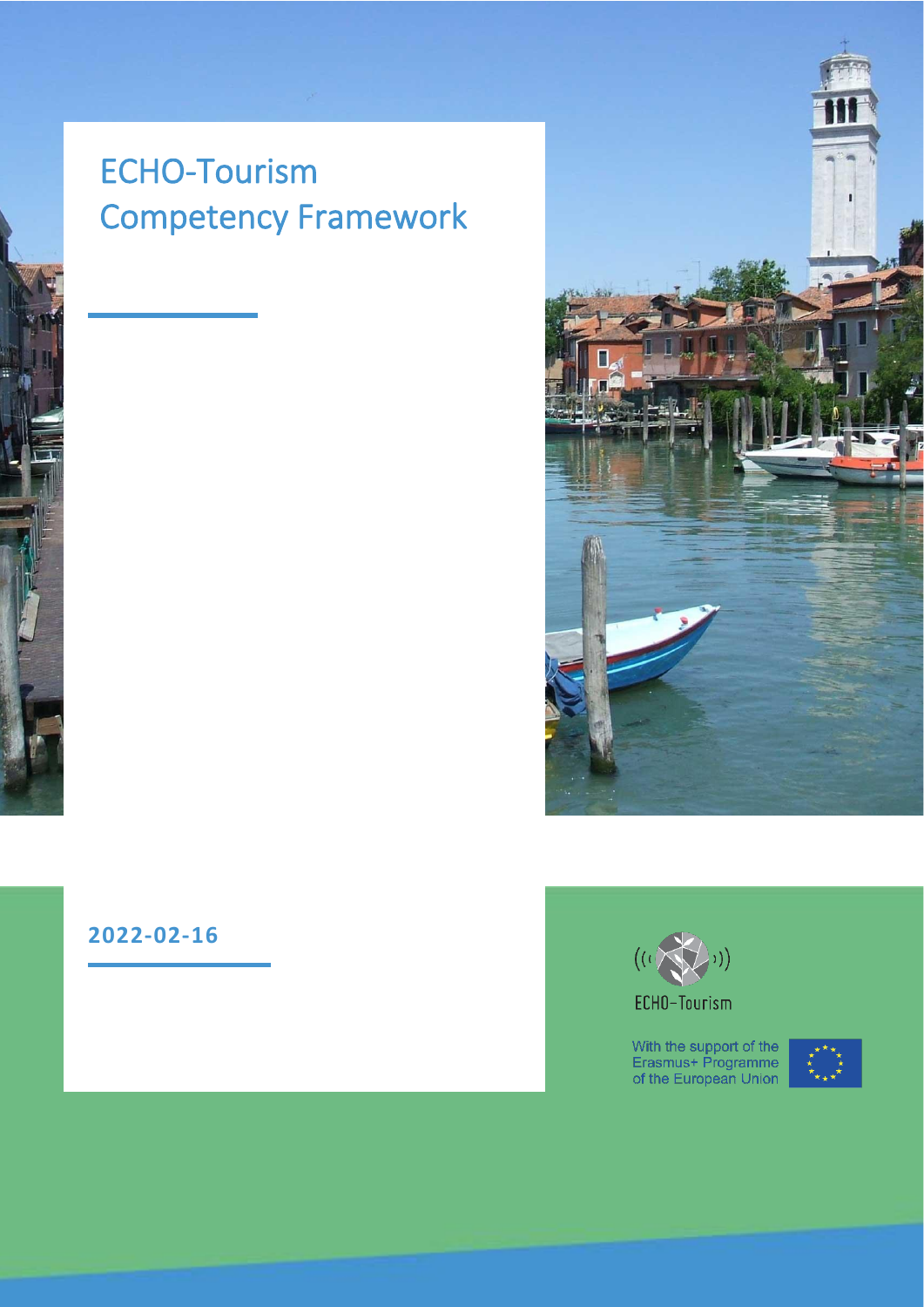# ECHO-Tourism Competency Framework







With the support of the<br>Erasmus+ Programme<br>of the European Union

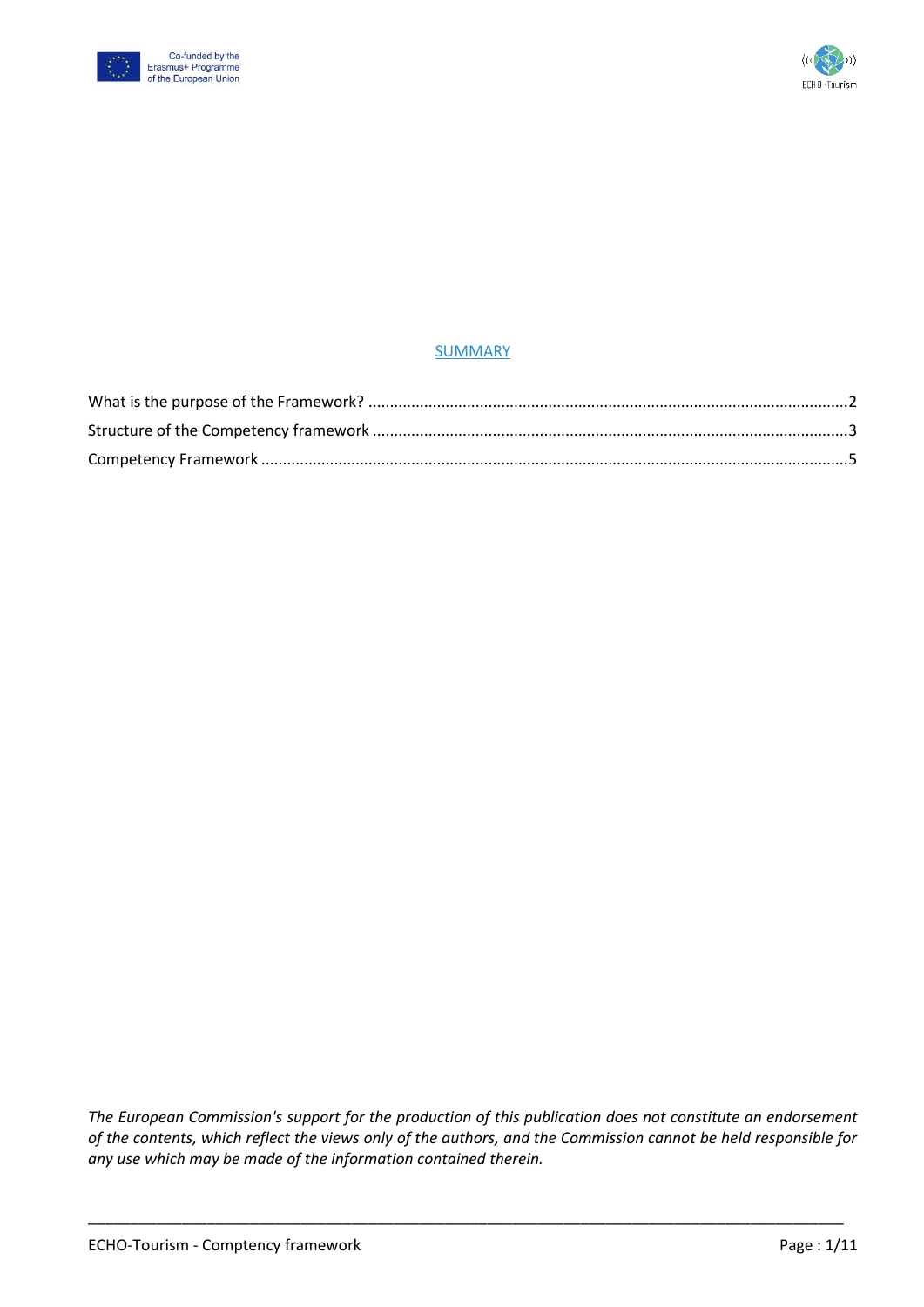



#### SUMMARY

*The European Commission's support for the production of this publication does not constitute an endorsement of the contents, which reflect the views only of the authors, and the Commission cannot be held responsible for any use which may be made of the information contained therein.*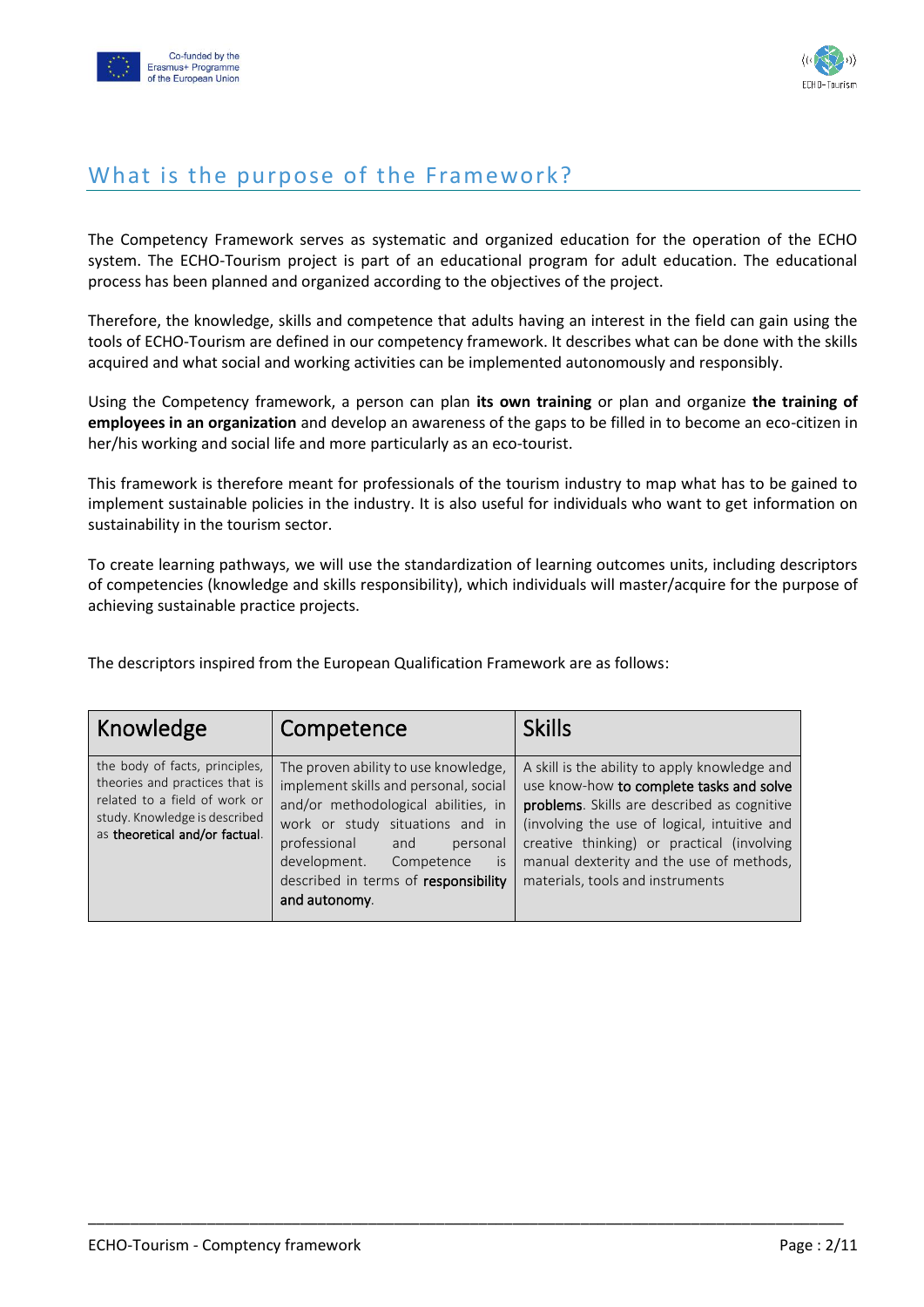



### <span id="page-2-0"></span>What is the purpose of the Framework?

The Competency Framework serves as systematic and organized education for the operation of the ECHO system. The ECHO-Tourism project is part of an educational program for adult education. The educational process has been planned and organized according to the objectives of the project.

Therefore, the knowledge, skills and competence that adults having an interest in the field can gain using the tools of ECHO-Tourism are defined in our competency framework. It describes what can be done with the skills acquired and what social and working activities can be implemented autonomously and responsibly.

Using the Competency framework, a person can plan **its own training** or plan and organize **the training of employees in an organization** and develop an awareness of the gaps to be filled in to become an eco-citizen in her/his working and social life and more particularly as an eco-tourist.

This framework is therefore meant for professionals of the tourism industry to map what has to be gained to implement sustainable policies in the industry. It is also useful for individuals who want to get information on sustainability in the tourism sector.

To create learning pathways, we will use the standardization of learning outcomes units, including descriptors of competencies (knowledge and skills responsibility), which individuals will master/acquire for the purpose of achieving sustainable practice projects.

The descriptors inspired from the European Qualification Framework are as follows:

| Knowledge                                                                                                                                                            | Competence                                                                                                                                                                                                                                                                              | <b>Skills</b>                                                                                                                                                                                                                                                                                                          |
|----------------------------------------------------------------------------------------------------------------------------------------------------------------------|-----------------------------------------------------------------------------------------------------------------------------------------------------------------------------------------------------------------------------------------------------------------------------------------|------------------------------------------------------------------------------------------------------------------------------------------------------------------------------------------------------------------------------------------------------------------------------------------------------------------------|
| the body of facts, principles,<br>theories and practices that is<br>related to a field of work or<br>study. Knowledge is described<br>as theoretical and/or factual. | The proven ability to use knowledge,<br>implement skills and personal, social<br>and/or methodological abilities, in<br>work or study situations and in<br>professional<br>and<br>personal<br>development.<br>Competence<br>is<br>described in terms of responsibility<br>and autonomy. | A skill is the ability to apply knowledge and<br>use know-how to complete tasks and solve<br>problems. Skills are described as cognitive<br>(involving the use of logical, intuitive and<br>creative thinking) or practical (involving<br>manual dexterity and the use of methods,<br>materials, tools and instruments |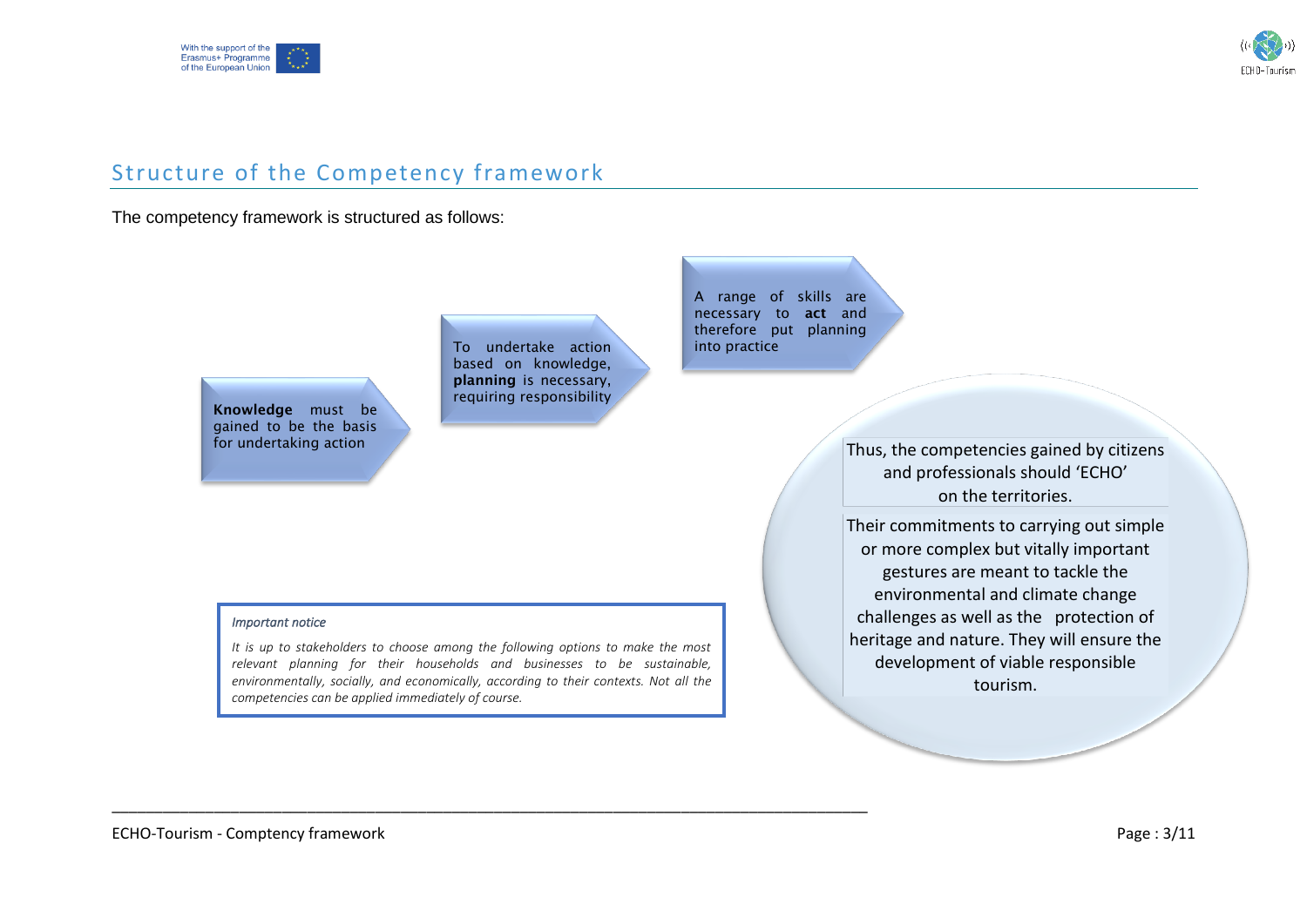



### Structure of the Competency framework

#### The competency framework is structured as follows:

Knowledge must be gained to be the basis for undertaking action

To undertake action based on knowledge, planning is necessary, requiring responsibility

A range of skills are necessary to act and therefore put planning into practice

> Thus, the competencies gained by citizens and professionals should 'ECHO' on the territories.

> Their commitments to carrying out simple or more complex but vitally important gestures are meant to tackle the environmental and climate change challenges as well as the protection of heritage and nature. They will ensure the development of viable responsible tourism.

#### <span id="page-3-0"></span>*Important notice*

*It is up to stakeholders to choose among the following options to make the most relevant planning for their households and businesses to be sustainable, environmentally, socially, and economically, according to their contexts. Not all the competencies can be applied immediately of course.*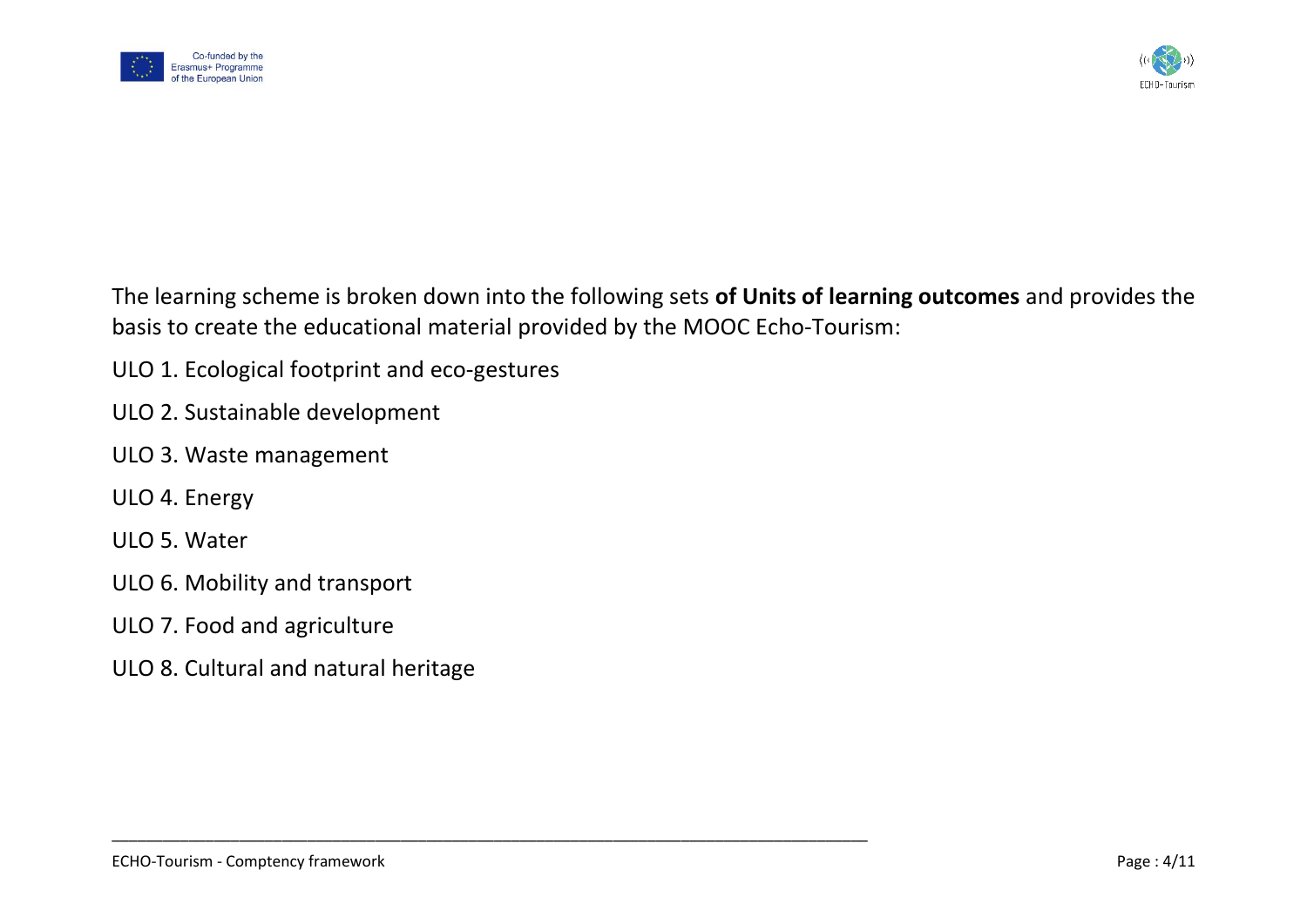



The learning scheme is broken down into the following sets **of Units of learning outcomes** and provides the basis to create the educational material provided by the MOOC Echo-Tourism:

- ULO 1. Ecological footprint and eco-gestures
- ULO 2. Sustainable development
- ULO 3. Waste management
- ULO 4. Energy
- ULO 5. Water
- ULO 6. Mobility and transport
- ULO 7. Food and agriculture
- ULO 8. Cultural and natural heritage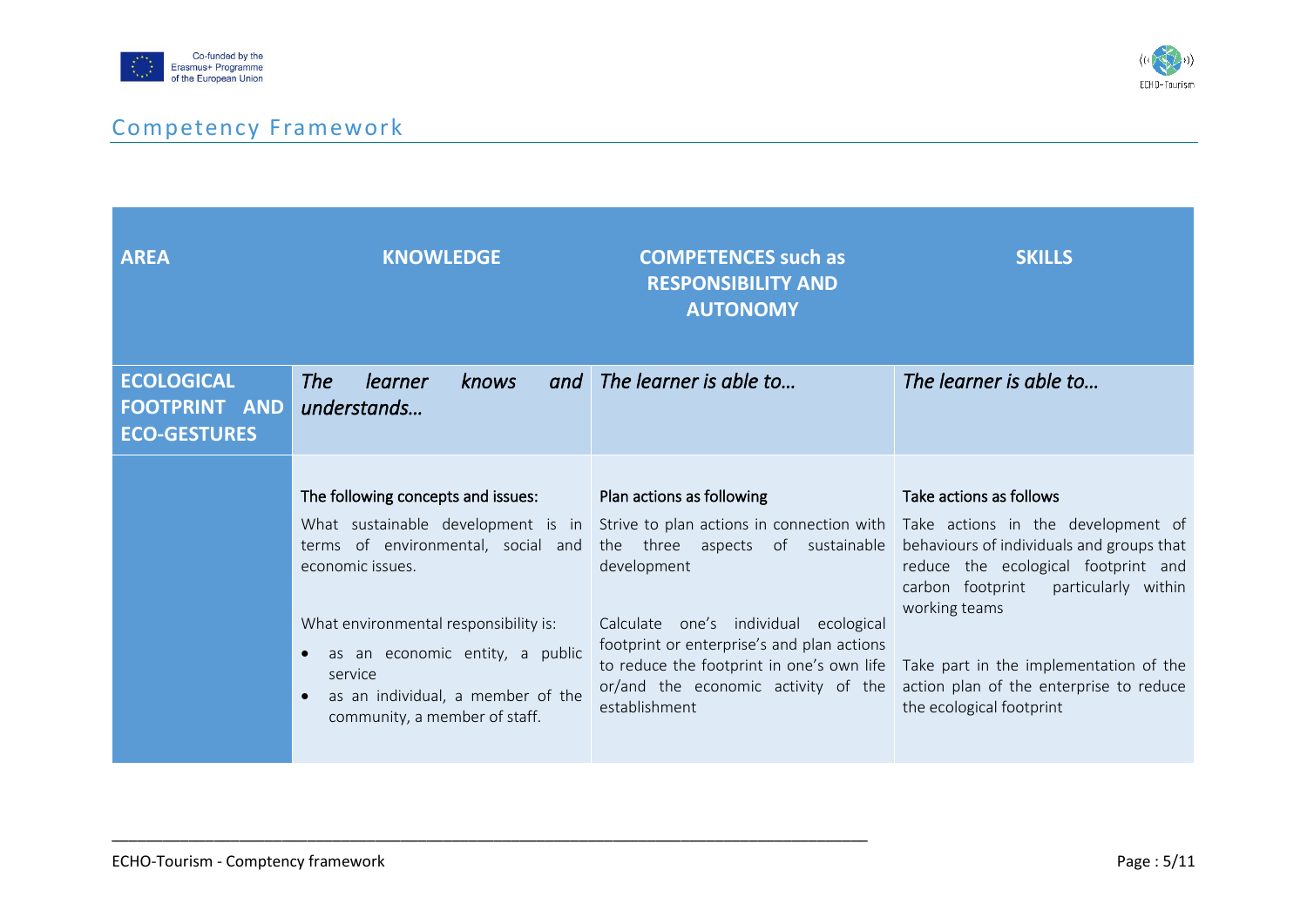



## Competency Framework

<span id="page-5-0"></span>

| <b>AREA</b>                                                      | <b>KNOWLEDGE</b>                                                                                                                                                                                                                                                       | <b>COMPETENCES</b> such as<br><b>RESPONSIBILITY_AND</b><br><b>AUTONOMY</b>                                                                                                                                                                                                                                                                                                                  | <b>SKILLS</b>                                                                                                                                                                                                                                                                         |
|------------------------------------------------------------------|------------------------------------------------------------------------------------------------------------------------------------------------------------------------------------------------------------------------------------------------------------------------|---------------------------------------------------------------------------------------------------------------------------------------------------------------------------------------------------------------------------------------------------------------------------------------------------------------------------------------------------------------------------------------------|---------------------------------------------------------------------------------------------------------------------------------------------------------------------------------------------------------------------------------------------------------------------------------------|
| <b>ECOLOGICAL</b><br><b>FOOTPRINT AND</b><br><b>ECO-GESTURES</b> | The<br><i>learner</i><br>knows<br>understands                                                                                                                                                                                                                          | and The learner is able to                                                                                                                                                                                                                                                                                                                                                                  | The learner is able to                                                                                                                                                                                                                                                                |
|                                                                  | The following concepts and issues:<br>terms of environmental, social and<br>economic issues.<br>What environmental responsibility is:<br>as an economic entity, a public<br>$\bullet$<br>service<br>as an individual, a member of the<br>community, a member of staff. | Plan actions as following<br>What sustainable development is in Strive to plan actions in connection with Take actions in the development of<br>the three aspects of sustainable<br>development<br>Calculate one's individual ecological<br>footprint or enterprise's and plan actions<br>to reduce the footprint in one's own life<br>or/and the economic activity of the<br>establishment | Take actions as follows<br>behaviours of individuals and groups that<br>reduce the ecological footprint and<br>carbon footprint particularly within<br>working teams<br>Take part in the implementation of the<br>action plan of the enterprise to reduce<br>the ecological footprint |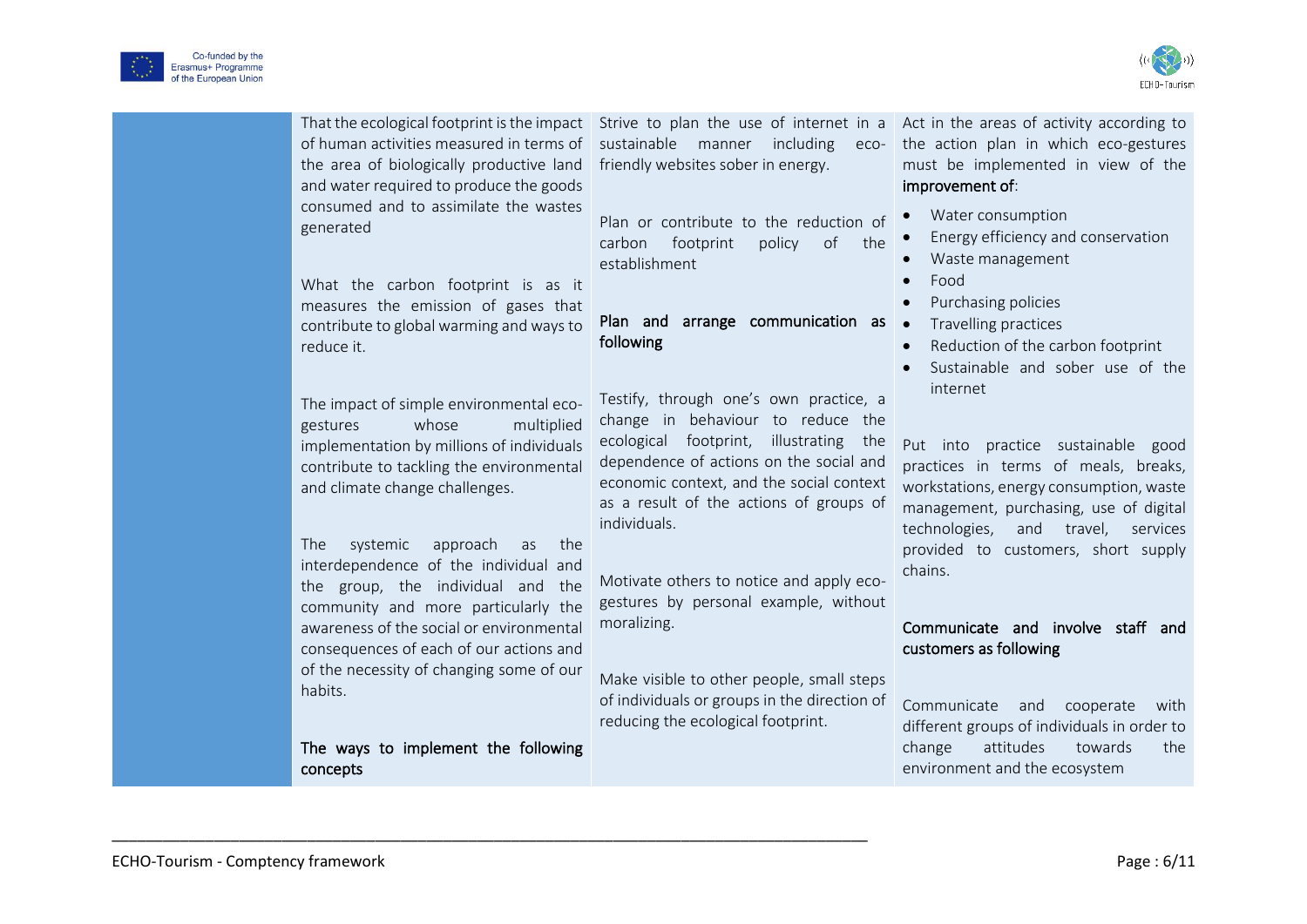



|                 | of human activities measured in terms of sustainable manner including<br>the area of biologically productive land<br>and water required to produce the goods<br>consumed and to assimilate the wastes<br>generated                                                                                                                                  | That the ecological footprint is the impact Strive to plan the use of internet in a Act in the areas of activity according to<br>eco-<br>friendly websites sober in energy.<br>Plan or contribute to the reduction of<br>footprint<br>policy<br>of<br>carbon<br>the<br>establishment                                                                            | the action plan in which eco-gestures<br>must be implemented in view of the<br>improvement of:<br>Water consumption<br>Energy efficiency and conservation<br>Waste management                                                                                          |
|-----------------|-----------------------------------------------------------------------------------------------------------------------------------------------------------------------------------------------------------------------------------------------------------------------------------------------------------------------------------------------------|-----------------------------------------------------------------------------------------------------------------------------------------------------------------------------------------------------------------------------------------------------------------------------------------------------------------------------------------------------------------|------------------------------------------------------------------------------------------------------------------------------------------------------------------------------------------------------------------------------------------------------------------------|
|                 | What the carbon footprint is as it<br>measures the emission of gases that<br>contribute to global warming and ways to<br>reduce it.                                                                                                                                                                                                                 | Plan and arrange communication as<br>following                                                                                                                                                                                                                                                                                                                  | Food<br>Purchasing policies<br>Travelling practices<br>$\bullet$<br>Reduction of the carbon footprint<br>Sustainable and sober use of the                                                                                                                              |
| gestures<br>The | The impact of simple environmental eco-<br>whose<br>multiplied<br>implementation by millions of individuals<br>contribute to tackling the environmental<br>and climate change challenges.<br>systemic<br>approach<br>the<br>as<br>interdependence of the individual and<br>the group, the individual and the<br>community and more particularly the | Testify, through one's own practice, a<br>change in behaviour to reduce the<br>ecological footprint, illustrating<br>the<br>dependence of actions on the social and<br>economic context, and the social context<br>as a result of the actions of groups of<br>individuals.<br>Motivate others to notice and apply eco-<br>gestures by personal example, without | internet<br>Put into practice sustainable good<br>practices in terms of meals, breaks,<br>workstations, energy consumption, waste<br>management, purchasing, use of digital<br>technologies,<br>and travel, services<br>provided to customers, short supply<br>chains. |
| habits.         | awareness of the social or environmental<br>consequences of each of our actions and<br>of the necessity of changing some of our<br>The ways to implement the following<br>concepts                                                                                                                                                                  | moralizing.<br>Make visible to other people, small steps<br>of individuals or groups in the direction of<br>reducing the ecological footprint.                                                                                                                                                                                                                  | Communicate and involve staff and<br>customers as following<br>Communicate<br>and<br>cooperate<br>with<br>different groups of individuals in order to<br>attitudes<br>change<br>towards<br>the<br>environment and the ecosystem                                        |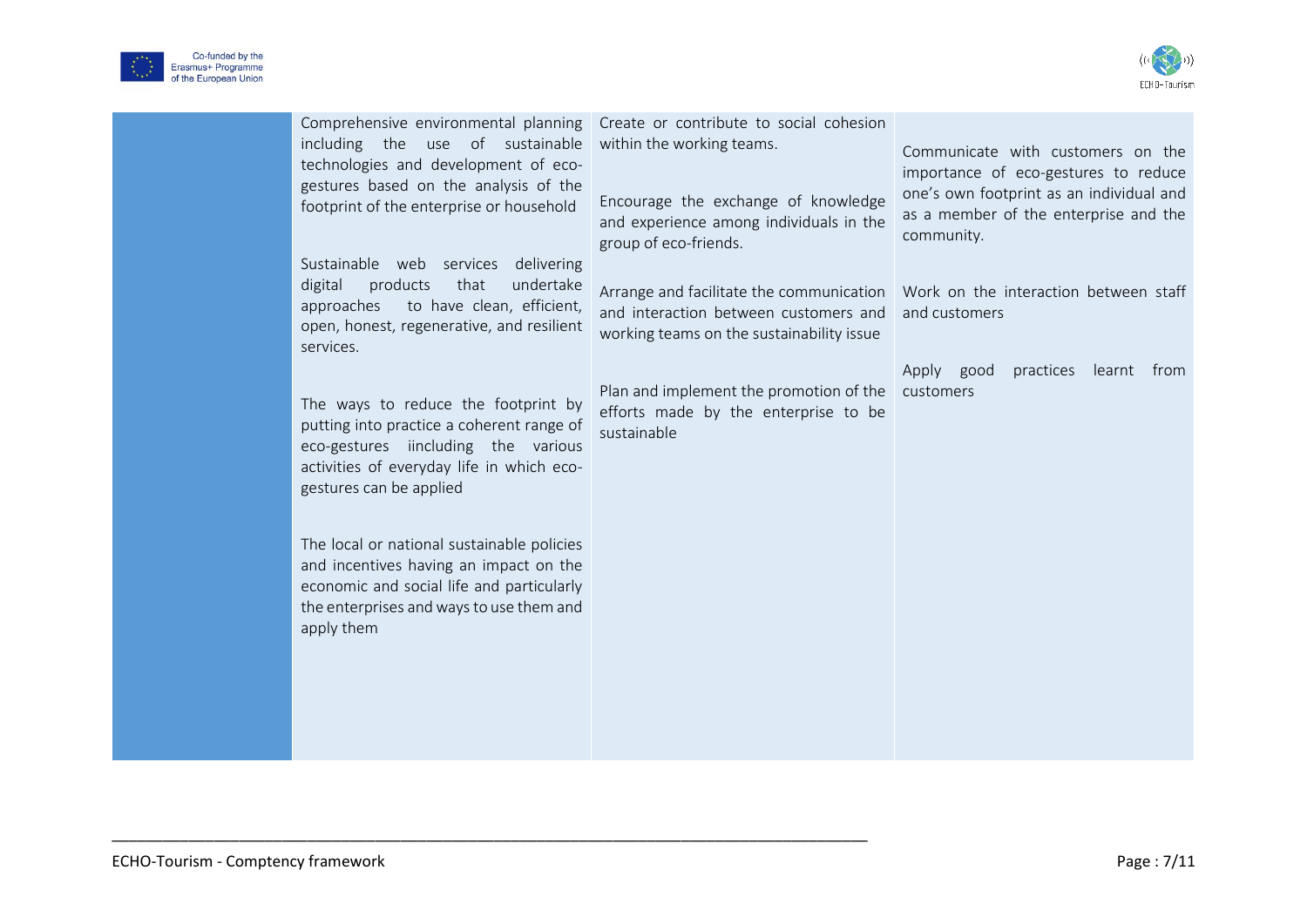



| Comprehensive environmental planning<br>including the use of sustainable<br>technologies and development of eco-<br>gestures based on the analysis of the<br>footprint of the enterprise or household<br>Sustainable web services delivering<br>products<br>that<br>undertake<br>digital<br>to have clean, efficient,<br>approaches<br>open, honest, regenerative, and resilient<br>services.<br>The ways to reduce the footprint by<br>putting into practice a coherent range of<br>eco-gestures iincluding the various<br>activities of everyday life in which eco-<br>gestures can be applied<br>The local or national sustainable policies<br>and incentives having an impact on the<br>economic and social life and particularly<br>the enterprises and ways to use them and<br>apply them | Create or contribute to social cohesion<br>within the working teams.<br>Encourage the exchange of knowledge<br>and experience among individuals in the<br>group of eco-friends.<br>Arrange and facilitate the communication   Work on the interaction between staff<br>and interaction between customers and<br>working teams on the sustainability issue<br>Plan and implement the promotion of the<br>efforts made by the enterprise to be<br>sustainable | Communicate with customers on the<br>importance of eco-gestures to reduce<br>one's own footprint as an individual and<br>as a member of the enterprise and the<br>community.<br>and customers<br>practices learnt from<br>Apply good<br>customers |
|-------------------------------------------------------------------------------------------------------------------------------------------------------------------------------------------------------------------------------------------------------------------------------------------------------------------------------------------------------------------------------------------------------------------------------------------------------------------------------------------------------------------------------------------------------------------------------------------------------------------------------------------------------------------------------------------------------------------------------------------------------------------------------------------------|-------------------------------------------------------------------------------------------------------------------------------------------------------------------------------------------------------------------------------------------------------------------------------------------------------------------------------------------------------------------------------------------------------------------------------------------------------------|---------------------------------------------------------------------------------------------------------------------------------------------------------------------------------------------------------------------------------------------------|
|                                                                                                                                                                                                                                                                                                                                                                                                                                                                                                                                                                                                                                                                                                                                                                                                 |                                                                                                                                                                                                                                                                                                                                                                                                                                                             |                                                                                                                                                                                                                                                   |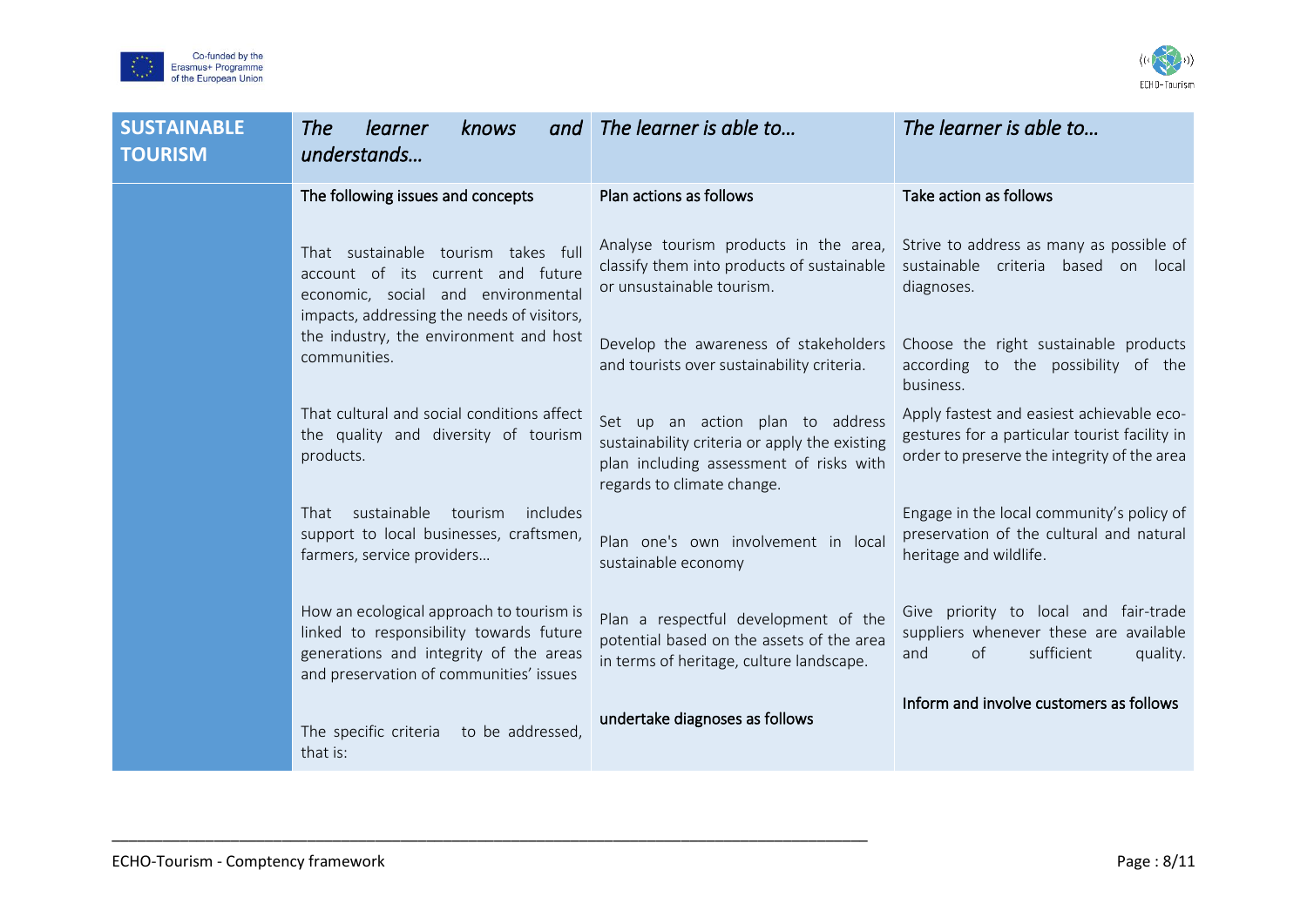



| <b>SUSTAINABLE</b><br><b>TOURISM</b> | learner<br><b>The</b><br>knows<br>and<br>understands                                                                                                                     | The learner is able to                                                                                                                                     | The learner is able to                                                                                                                    |
|--------------------------------------|--------------------------------------------------------------------------------------------------------------------------------------------------------------------------|------------------------------------------------------------------------------------------------------------------------------------------------------------|-------------------------------------------------------------------------------------------------------------------------------------------|
|                                      | The following issues and concepts                                                                                                                                        | Plan actions as follows                                                                                                                                    | Take action as follows                                                                                                                    |
|                                      | That sustainable tourism takes full<br>account of its current and future<br>economic, social and environmental<br>impacts, addressing the needs of visitors,             | Analyse tourism products in the area,<br>classify them into products of sustainable<br>or unsustainable tourism.                                           | Strive to address as many as possible of<br>sustainable criteria based on local<br>diagnoses.                                             |
|                                      | the industry, the environment and host<br>communities.                                                                                                                   | Develop the awareness of stakeholders<br>and tourists over sustainability criteria.                                                                        | Choose the right sustainable products<br>according to the possibility of the<br>business.                                                 |
|                                      | That cultural and social conditions affect<br>the quality and diversity of tourism<br>products.                                                                          | Set up an action plan to address<br>sustainability criteria or apply the existing<br>plan including assessment of risks with<br>regards to climate change. | Apply fastest and easiest achievable eco-<br>gestures for a particular tourist facility in<br>order to preserve the integrity of the area |
|                                      | That sustainable<br>tourism<br>includes<br>support to local businesses, craftsmen,<br>farmers, service providers                                                         | Plan one's own involvement in local<br>sustainable economy                                                                                                 | Engage in the local community's policy of<br>preservation of the cultural and natural<br>heritage and wildlife.                           |
|                                      | How an ecological approach to tourism is<br>linked to responsibility towards future<br>generations and integrity of the areas<br>and preservation of communities' issues | Plan a respectful development of the<br>potential based on the assets of the area<br>in terms of heritage, culture landscape.                              | Give priority to local and fair-trade<br>suppliers whenever these are available<br>of<br>sufficient<br>quality.<br>and                    |
|                                      | The specific criteria<br>to be addressed,<br>that is:                                                                                                                    | undertake diagnoses as follows                                                                                                                             | Inform and involve customers as follows                                                                                                   |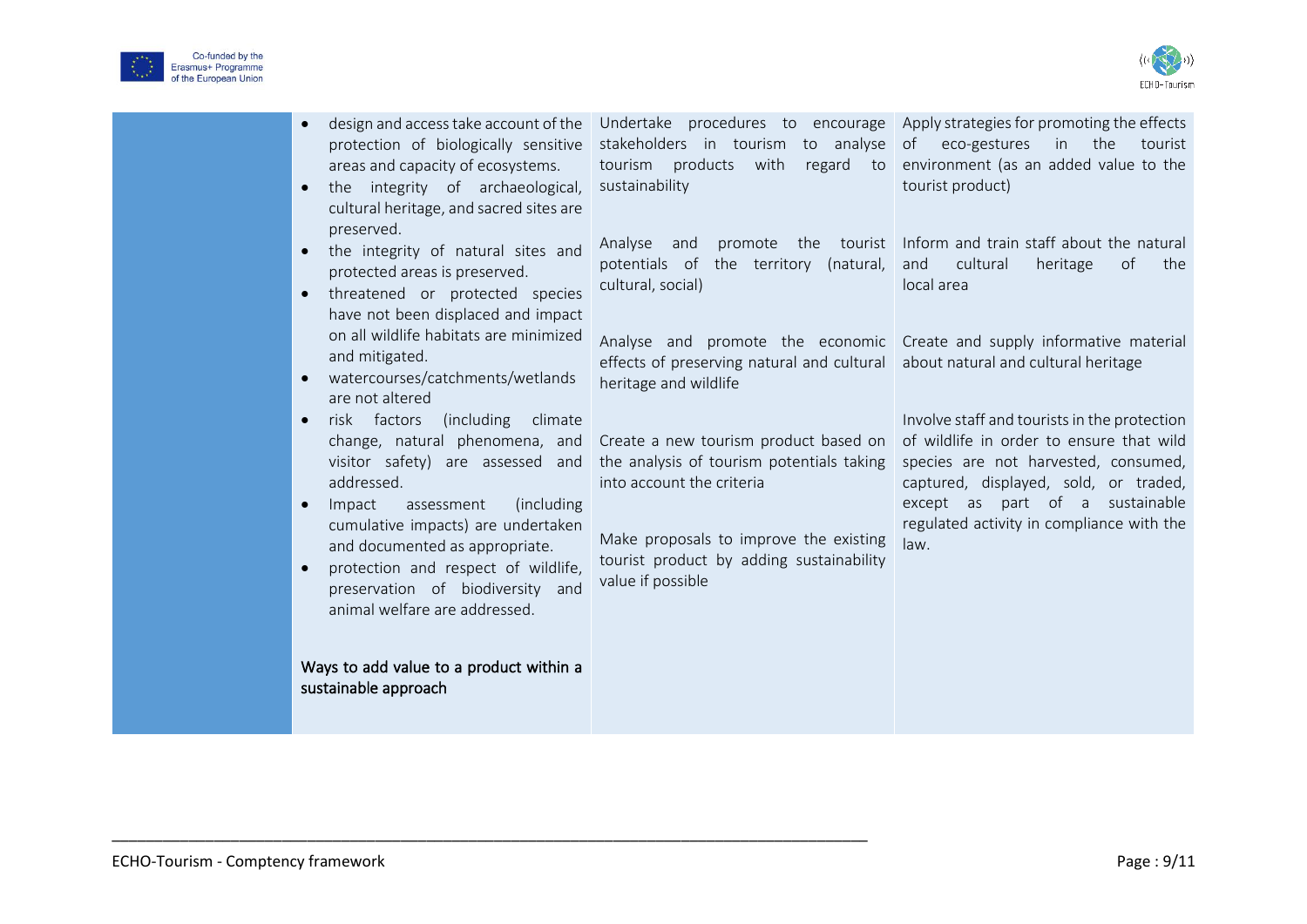



| design and access take account of the<br>$\bullet$<br>protection of biologically sensitive<br>areas and capacity of ecosystems.<br>the integrity of archaeological,<br>$\bullet$<br>cultural heritage, and sacred sites are                                                                                                                                                                 | Undertake procedures to encourage Apply strategies for promoting the effects<br>stakeholders in tourism to analyse<br>tourism products with<br>sustainability                                                              | eco-gestures<br>the<br>of<br>in<br>tourist<br>regard to environment (as an added value to the<br>tourist product)                                                                                                                                                 |
|---------------------------------------------------------------------------------------------------------------------------------------------------------------------------------------------------------------------------------------------------------------------------------------------------------------------------------------------------------------------------------------------|----------------------------------------------------------------------------------------------------------------------------------------------------------------------------------------------------------------------------|-------------------------------------------------------------------------------------------------------------------------------------------------------------------------------------------------------------------------------------------------------------------|
| preserved.<br>the integrity of natural sites and<br>$\bullet$<br>protected areas is preserved.<br>threatened or protected species<br>$\bullet$<br>have not been displaced and impact                                                                                                                                                                                                        | Analyse and<br>potentials of the territory (natural,<br>cultural, social)                                                                                                                                                  | promote the tourist Inform and train staff about the natural<br>of<br>cultural<br>heritage<br>and<br>the<br>local area                                                                                                                                            |
| on all wildlife habitats are minimized<br>and mitigated.<br>watercourses/catchments/wetlands<br>$\bullet$<br>are not altered                                                                                                                                                                                                                                                                | Analyse and promote the economic Create and supply informative material<br>effects of preserving natural and cultural about natural and cultural heritage<br>heritage and wildlife                                         |                                                                                                                                                                                                                                                                   |
| risk factors<br>(including)<br>climate<br>$\bullet$<br>change, natural phenomena, and<br>visitor safety) are assessed and<br>addressed.<br>(including<br>Impact<br>assessment<br>$\bullet$<br>cumulative impacts) are undertaken<br>and documented as appropriate.<br>protection and respect of wildlife,<br>$\bullet$<br>preservation of biodiversity and<br>animal welfare are addressed. | Create a new tourism product based on<br>the analysis of tourism potentials taking<br>into account the criteria<br>Make proposals to improve the existing<br>tourist product by adding sustainability<br>value if possible | Involve staff and tourists in the protection<br>of wildlife in order to ensure that wild<br>species are not harvested, consumed,<br>captured, displayed, sold, or traded,<br>except as part of a sustainable<br>regulated activity in compliance with the<br>law. |
| Ways to add value to a product within a<br>sustainable approach                                                                                                                                                                                                                                                                                                                             |                                                                                                                                                                                                                            |                                                                                                                                                                                                                                                                   |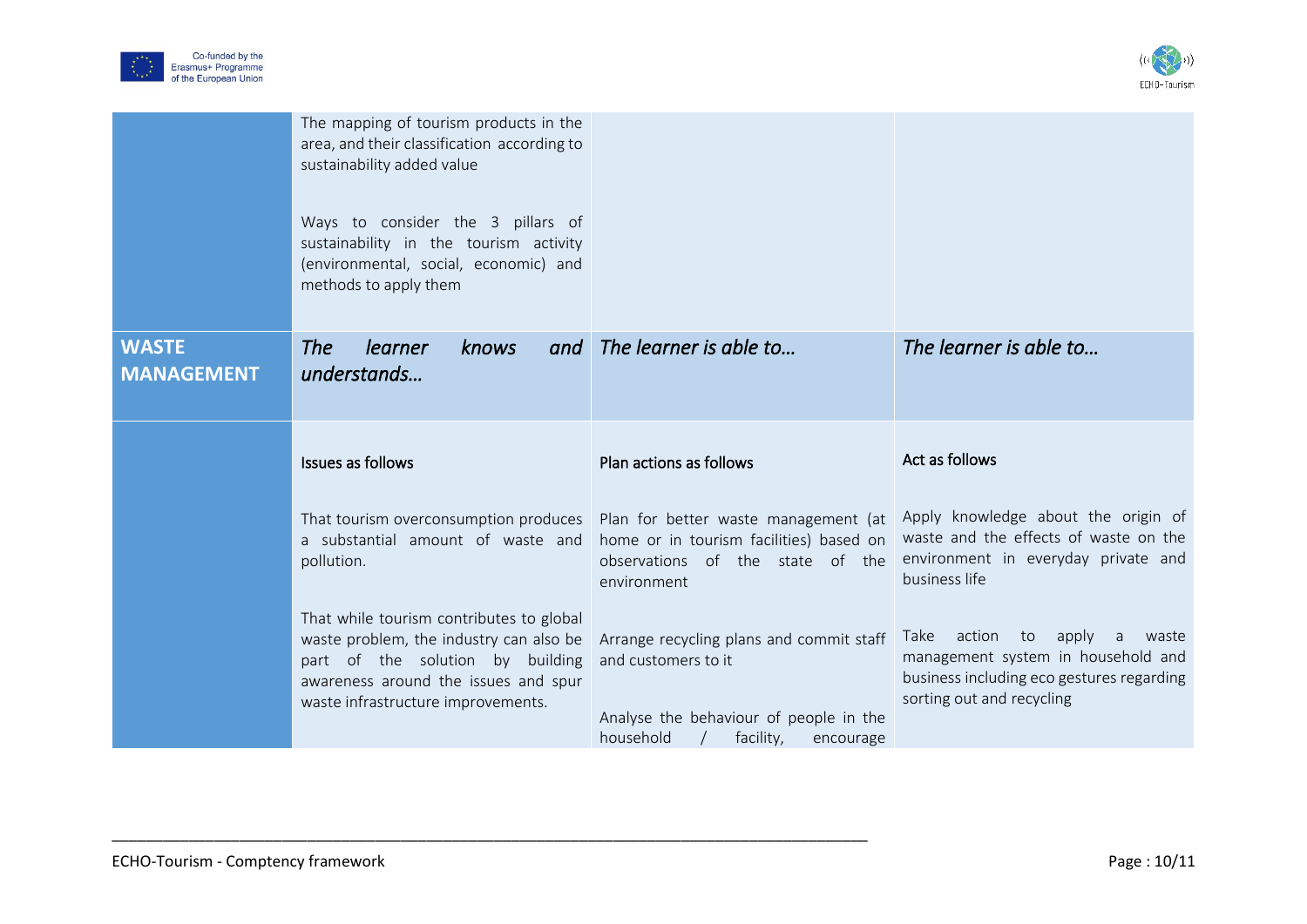



|                                   | The mapping of tourism products in the<br>area, and their classification according to<br>sustainability added value<br>Ways to consider the 3 pillars of<br>sustainability in the tourism activity<br>(environmental, social, economic) and<br>methods to apply them |                                                                                                                                                                          |                                                                                                                                                             |
|-----------------------------------|----------------------------------------------------------------------------------------------------------------------------------------------------------------------------------------------------------------------------------------------------------------------|--------------------------------------------------------------------------------------------------------------------------------------------------------------------------|-------------------------------------------------------------------------------------------------------------------------------------------------------------|
| <b>WASTE</b><br><b>MANAGEMENT</b> | <b>The</b><br>learner<br>knows<br>understands                                                                                                                                                                                                                        | and The learner is able to                                                                                                                                               | The learner is able to                                                                                                                                      |
|                                   | Issues as follows                                                                                                                                                                                                                                                    | Plan actions as follows                                                                                                                                                  | Act as follows                                                                                                                                              |
|                                   | a substantial amount of waste and<br>pollution.                                                                                                                                                                                                                      | That tourism overconsumption produces Plan for better waste management (at<br>home or in tourism facilities) based on<br>observations of the state of the<br>environment | Apply knowledge about the origin of<br>waste and the effects of waste on the<br>environment in everyday private and<br>business life                        |
|                                   | That while tourism contributes to global<br>waste problem, the industry can also be<br>part of the solution by building<br>awareness around the issues and spur<br>waste infrastructure improvements.                                                                | Arrange recycling plans and commit staff<br>and customers to it<br>Analyse the behaviour of people in the<br>household<br>facility,<br>encourage                         | action<br>Take<br>to<br>apply<br>a<br>waste<br>management system in household and<br>business including eco gestures regarding<br>sorting out and recycling |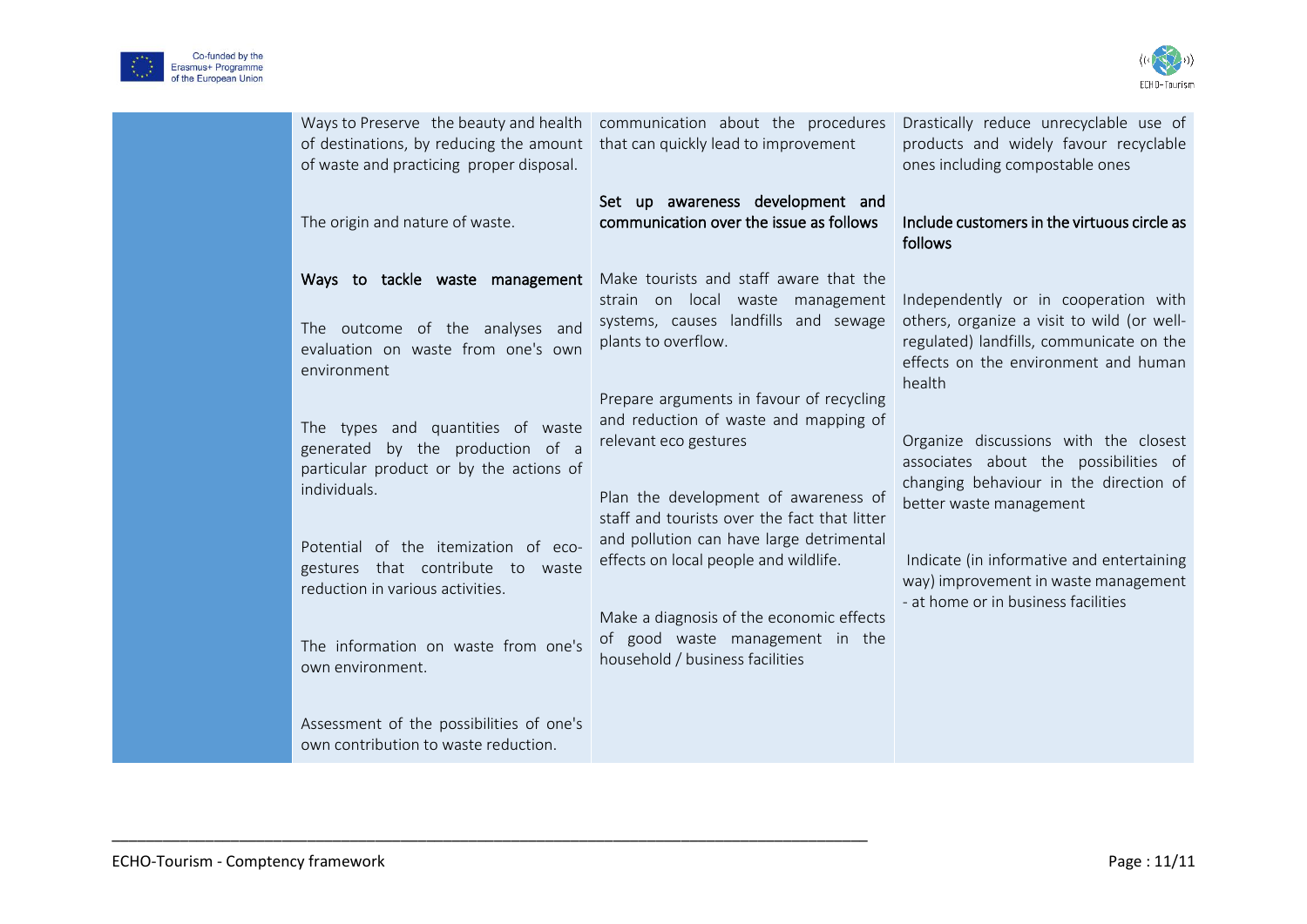



| of destinations, by reducing the amount<br>of waste and practicing proper disposal.                                                                                                                                                                                                      | Ways to Preserve the beauty and health communication about the procedures<br>that can quickly lead to improvement                                                                                                                                                                                                                                                      | Drastically reduce unrecyclable use of<br>products and widely favour recyclable<br>ones including compostable ones                                                                                                                                                              |
|------------------------------------------------------------------------------------------------------------------------------------------------------------------------------------------------------------------------------------------------------------------------------------------|------------------------------------------------------------------------------------------------------------------------------------------------------------------------------------------------------------------------------------------------------------------------------------------------------------------------------------------------------------------------|---------------------------------------------------------------------------------------------------------------------------------------------------------------------------------------------------------------------------------------------------------------------------------|
| The origin and nature of waste.                                                                                                                                                                                                                                                          | Set up awareness development and<br>communication over the issue as follows                                                                                                                                                                                                                                                                                            | Include customers in the virtuous circle as<br>follows                                                                                                                                                                                                                          |
| Ways to tackle waste management                                                                                                                                                                                                                                                          | Make tourists and staff aware that the                                                                                                                                                                                                                                                                                                                                 |                                                                                                                                                                                                                                                                                 |
| The outcome of the analyses and<br>evaluation on waste from one's own<br>environment                                                                                                                                                                                                     | strain on local waste management<br>systems, causes landfills and sewage<br>plants to overflow.                                                                                                                                                                                                                                                                        | Independently or in cooperation with<br>others, organize a visit to wild (or well-<br>regulated) landfills, communicate on the<br>effects on the environment and human<br>health                                                                                                |
| The types and quantities of waste<br>generated by the production of a<br>particular product or by the actions of<br>individuals.<br>Potential of the itemization of eco-<br>gestures that contribute to waste<br>reduction in various activities.<br>The information on waste from one's | Prepare arguments in favour of recycling<br>and reduction of waste and mapping of<br>relevant eco gestures<br>Plan the development of awareness of<br>staff and tourists over the fact that litter<br>and pollution can have large detrimental<br>effects on local people and wildlife.<br>Make a diagnosis of the economic effects<br>of good waste management in the | Organize discussions with the closest<br>associates about the possibilities of<br>changing behaviour in the direction of<br>better waste management<br>Indicate (in informative and entertaining<br>way) improvement in waste management<br>- at home or in business facilities |
| own environment.<br>Assessment of the possibilities of one's<br>own contribution to waste reduction.                                                                                                                                                                                     | household / business facilities                                                                                                                                                                                                                                                                                                                                        |                                                                                                                                                                                                                                                                                 |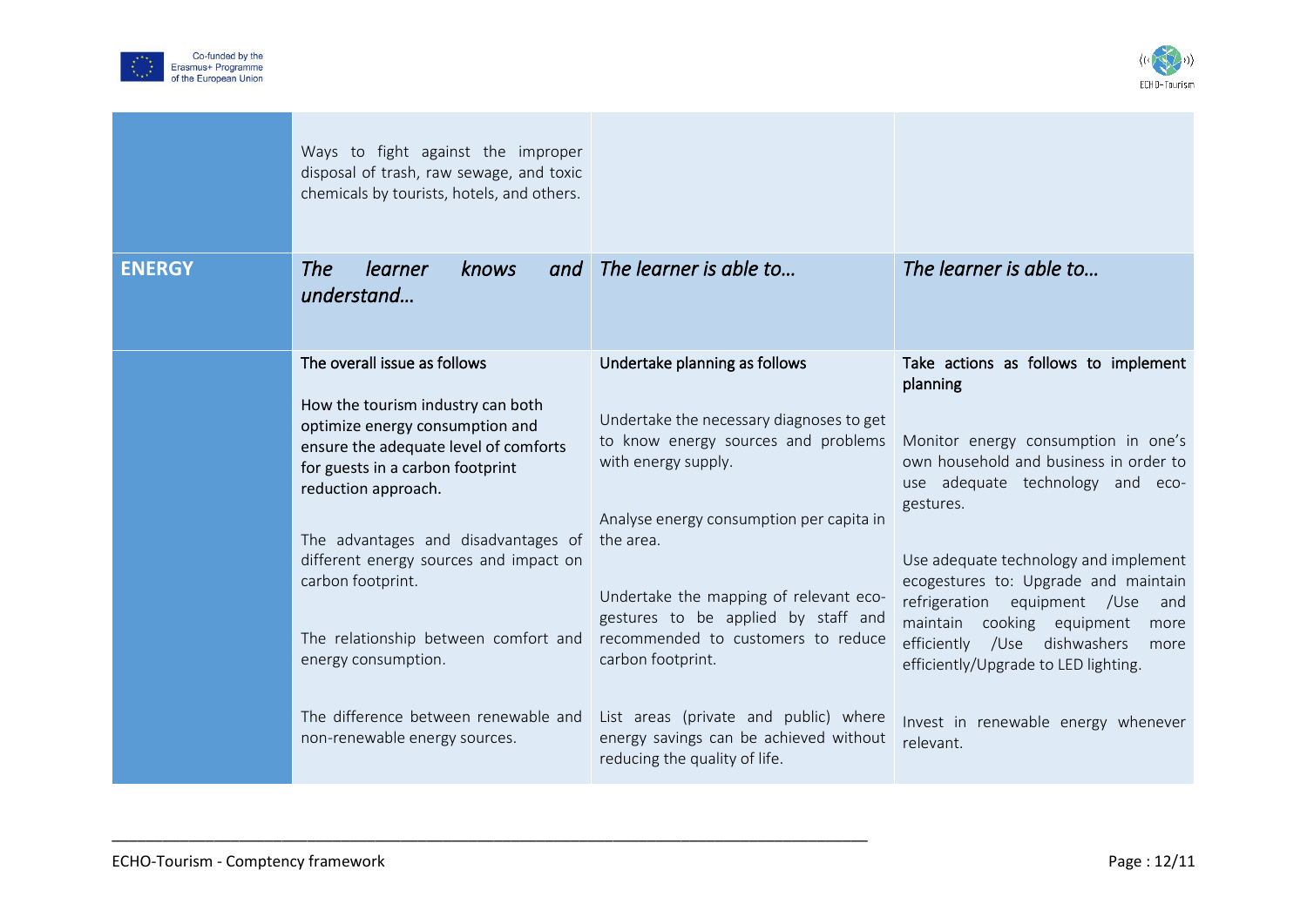



|               | Ways to fight against the improper<br>disposal of trash, raw sewage, and toxic<br>chemicals by tourists, hotels, and others.                                                                                                                                                                                                                                                                                                                           |                                                                                                                                                                                                                                                                                                                                                                                                                                                                  |                                                                                                                                                                                                                                                                                                                                                                                                                                                                                         |
|---------------|--------------------------------------------------------------------------------------------------------------------------------------------------------------------------------------------------------------------------------------------------------------------------------------------------------------------------------------------------------------------------------------------------------------------------------------------------------|------------------------------------------------------------------------------------------------------------------------------------------------------------------------------------------------------------------------------------------------------------------------------------------------------------------------------------------------------------------------------------------------------------------------------------------------------------------|-----------------------------------------------------------------------------------------------------------------------------------------------------------------------------------------------------------------------------------------------------------------------------------------------------------------------------------------------------------------------------------------------------------------------------------------------------------------------------------------|
| <b>ENERGY</b> | <b>The</b><br>learner<br>knows<br>and<br>understand                                                                                                                                                                                                                                                                                                                                                                                                    | The learner is able to                                                                                                                                                                                                                                                                                                                                                                                                                                           | The learner is able to                                                                                                                                                                                                                                                                                                                                                                                                                                                                  |
|               | The overall issue as follows<br>How the tourism industry can both<br>optimize energy consumption and<br>ensure the adequate level of comforts<br>for guests in a carbon footprint<br>reduction approach.<br>The advantages and disadvantages of<br>different energy sources and impact on<br>carbon footprint.<br>The relationship between comfort and<br>energy consumption.<br>The difference between renewable and<br>non-renewable energy sources. | Undertake planning as follows<br>Undertake the necessary diagnoses to get<br>to know energy sources and problems<br>with energy supply.<br>Analyse energy consumption per capita in<br>the area.<br>Undertake the mapping of relevant eco-<br>gestures to be applied by staff and<br>recommended to customers to reduce<br>carbon footprint.<br>List areas (private and public) where<br>energy savings can be achieved without<br>reducing the quality of life. | Take actions as follows to implement<br>planning<br>Monitor energy consumption in one's<br>own household and business in order to<br>use adequate technology and eco-<br>gestures.<br>Use adequate technology and implement<br>ecogestures to: Upgrade and maintain<br>refrigeration<br>equipment /Use<br>and<br>maintain cooking equipment<br>more<br>efficiently /Use dishwashers<br>more<br>efficiently/Upgrade to LED lighting.<br>Invest in renewable energy whenever<br>relevant. |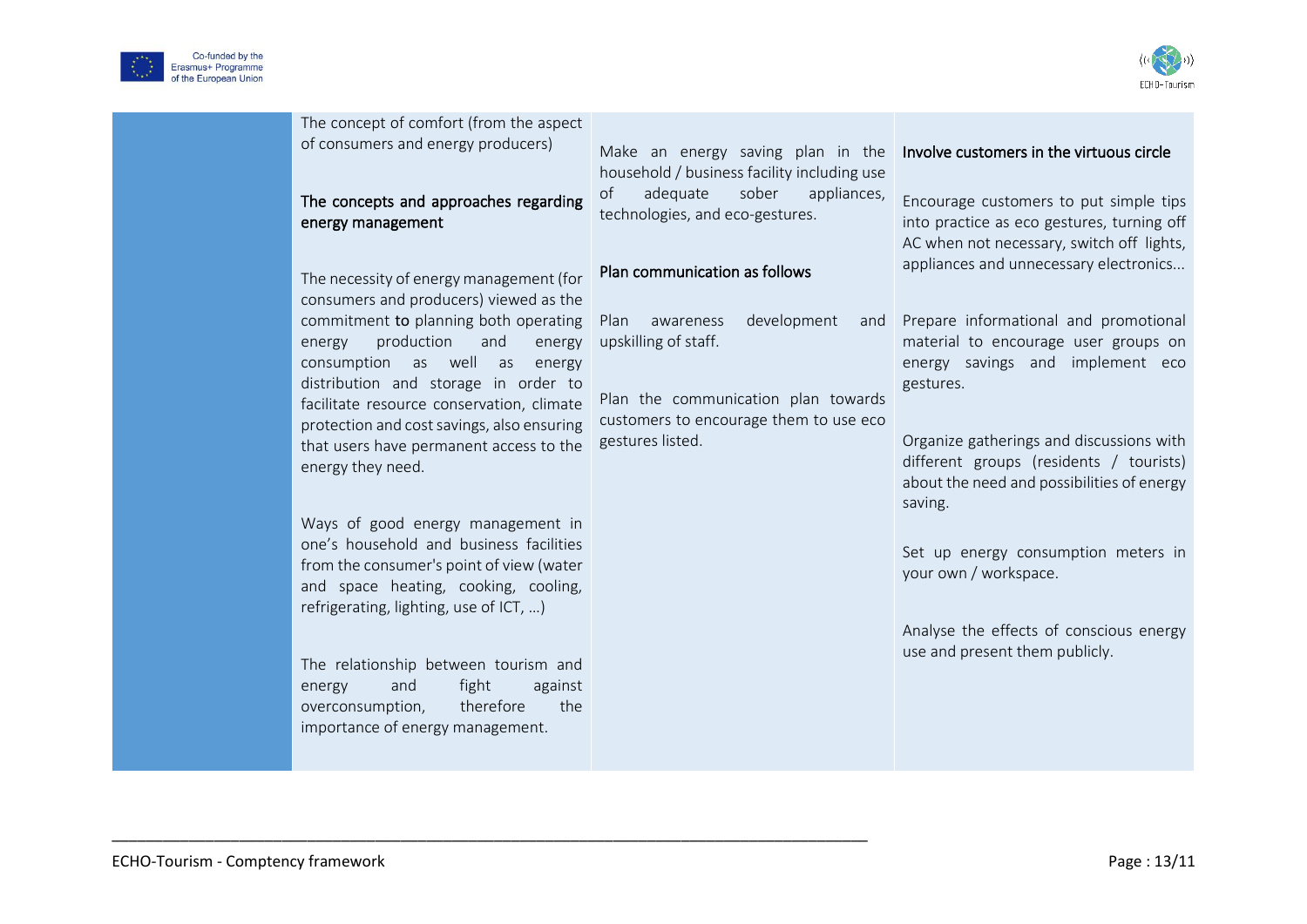



| The concept of comfort (from the aspect<br>of consumers and energy producers)<br>The concepts and approaches regarding<br>energy management<br>The necessity of energy management (for                                                                                                                                                                                                                                                                                                                                                                                                                                                                                                                                                 | Make an energy saving plan in the<br>household / business facility including use<br>adequate<br>sober<br>appliances,<br>of<br>technologies, and eco-gestures.<br>Plan communication as follows | Involve customers in the virtuous circle<br>Encourage customers to put simple tips<br>into practice as eco gestures, turning off<br>AC when not necessary, switch off lights,<br>appliances and unnecessary electronics                                                                                                                                                                                                     |
|----------------------------------------------------------------------------------------------------------------------------------------------------------------------------------------------------------------------------------------------------------------------------------------------------------------------------------------------------------------------------------------------------------------------------------------------------------------------------------------------------------------------------------------------------------------------------------------------------------------------------------------------------------------------------------------------------------------------------------------|------------------------------------------------------------------------------------------------------------------------------------------------------------------------------------------------|-----------------------------------------------------------------------------------------------------------------------------------------------------------------------------------------------------------------------------------------------------------------------------------------------------------------------------------------------------------------------------------------------------------------------------|
| consumers and producers) viewed as the<br>commitment to planning both operating<br>production<br>energy<br>and<br>energy<br>consumption as well as<br>energy<br>distribution and storage in order to<br>facilitate resource conservation, climate<br>protection and cost savings, also ensuring<br>that users have permanent access to the<br>energy they need.<br>Ways of good energy management in<br>one's household and business facilities<br>from the consumer's point of view (water<br>and space heating, cooking, cooling,<br>refrigerating, lighting, use of ICT, )<br>The relationship between tourism and<br>and<br>fight<br>against<br>energy<br>the<br>overconsumption,<br>therefore<br>importance of energy management. | development<br>Plan<br>awareness<br>and<br>upskilling of staff.<br>Plan the communication plan towards<br>customers to encourage them to use eco<br>gestures listed.                           | Prepare informational and promotional<br>material to encourage user groups on<br>energy savings and implement eco<br>gestures.<br>Organize gatherings and discussions with<br>different groups (residents / tourists)<br>about the need and possibilities of energy<br>saving.<br>Set up energy consumption meters in<br>your own / workspace.<br>Analyse the effects of conscious energy<br>use and present them publicly. |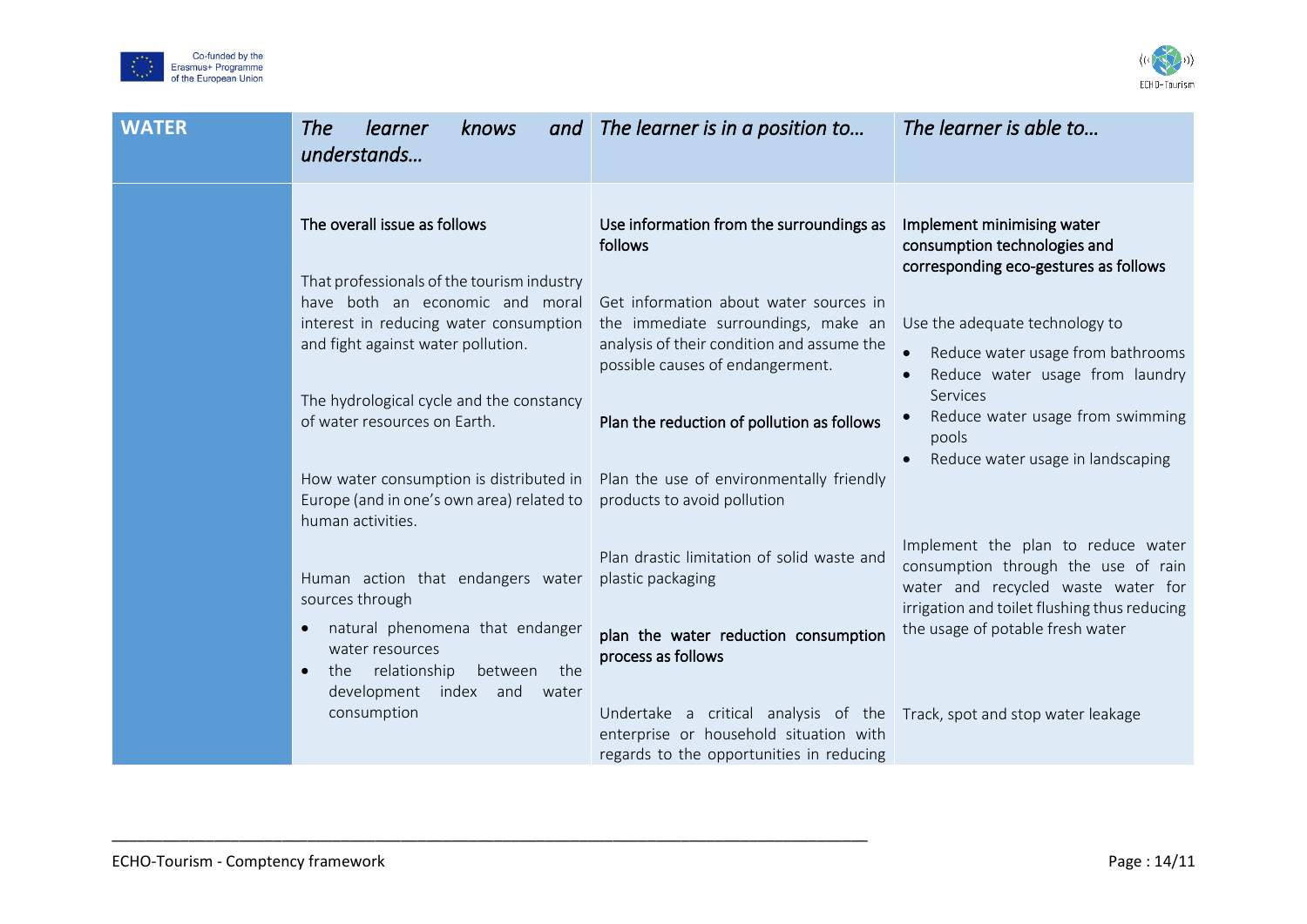



| <b>WATER</b> | <b>The</b><br>learner<br>knows<br>and<br>understands                                                                                                                                                                                                                                                                                     | The learner is in a position to                                                                                                                                                                                                                                                                                                                                           | The learner is able to                                                                                                                                                                                                                                                                                      |
|--------------|------------------------------------------------------------------------------------------------------------------------------------------------------------------------------------------------------------------------------------------------------------------------------------------------------------------------------------------|---------------------------------------------------------------------------------------------------------------------------------------------------------------------------------------------------------------------------------------------------------------------------------------------------------------------------------------------------------------------------|-------------------------------------------------------------------------------------------------------------------------------------------------------------------------------------------------------------------------------------------------------------------------------------------------------------|
|              | The overall issue as follows<br>That professionals of the tourism industry<br>have both an economic and moral<br>interest in reducing water consumption<br>and fight against water pollution.<br>The hydrological cycle and the constancy<br>of water resources on Earth.                                                                | Use information from the surroundings as<br>follows<br>Get information about water sources in<br>the immediate surroundings, make an<br>analysis of their condition and assume the<br>possible causes of endangerment.<br>Plan the reduction of pollution as follows                                                                                                      | Implement minimising water<br>consumption technologies and<br>corresponding eco-gestures as follows<br>Use the adequate technology to<br>Reduce water usage from bathrooms<br>Reduce water usage from laundry<br>Services<br>Reduce water usage from swimming<br>pools<br>Reduce water usage in landscaping |
|              | How water consumption is distributed in<br>Europe (and in one's own area) related to<br>human activities.<br>Human action that endangers water<br>sources through<br>natural phenomena that endanger<br>$\bullet$<br>water resources<br>the relationship<br>between<br>the<br>$\bullet$<br>development index and<br>water<br>consumption | Plan the use of environmentally friendly<br>products to avoid pollution<br>Plan drastic limitation of solid waste and<br>plastic packaging<br>plan the water reduction consumption<br>process as follows<br>Undertake a critical analysis of the Track, spot and stop water leakage<br>enterprise or household situation with<br>regards to the opportunities in reducing | Implement the plan to reduce water<br>consumption through the use of rain<br>water and recycled waste water for<br>irrigation and toilet flushing thus reducing<br>the usage of potable fresh water                                                                                                         |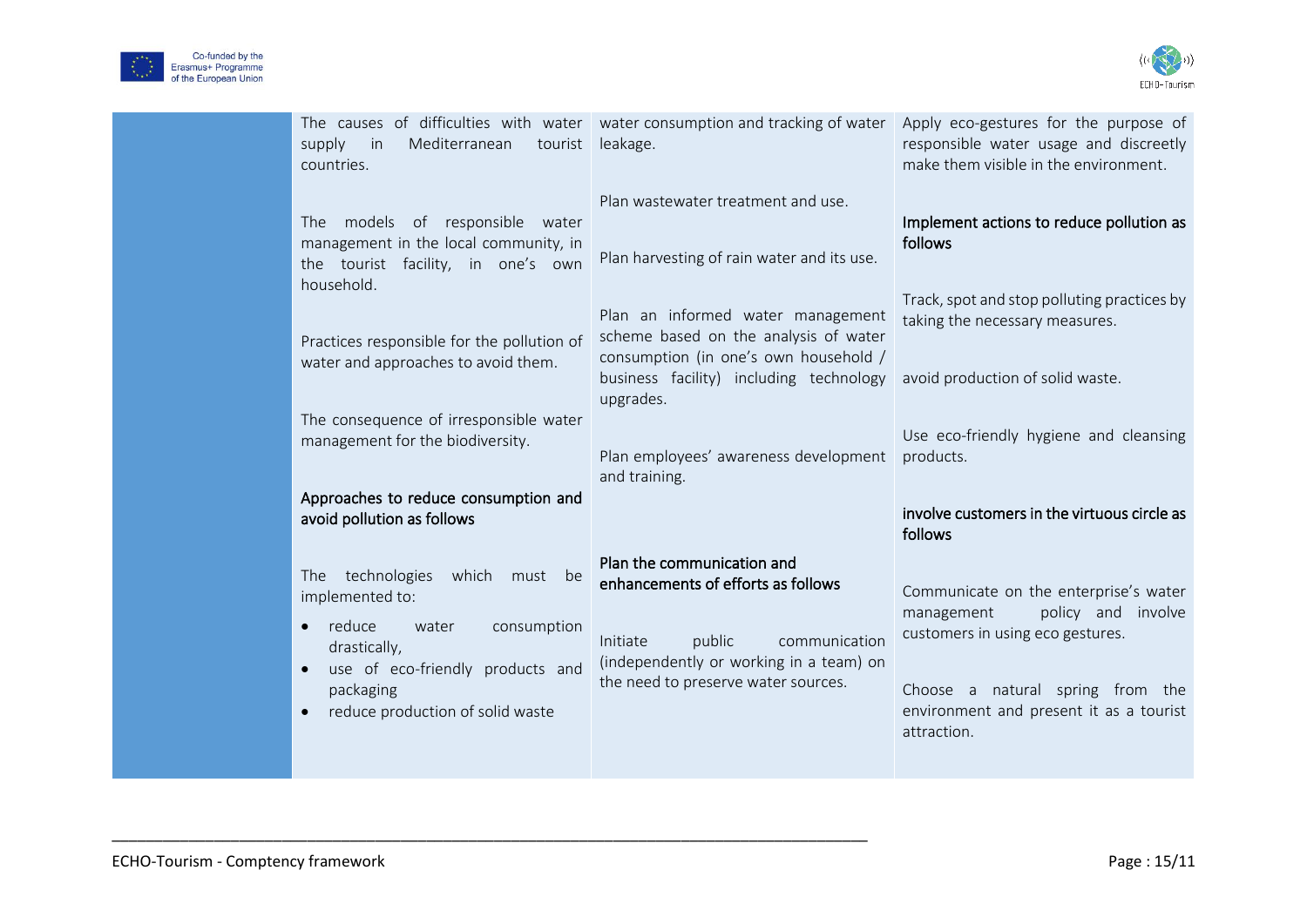



| Mediterranean<br>tourist<br>supply<br>in<br>countries.                                                                                                                                                                      | The causes of difficulties with water water consumption and tracking of water<br>leakage.                                                                                                 | Apply eco-gestures for the purpose of<br>responsible water usage and discreetly<br>make them visible in the environment.                                                                                    |
|-----------------------------------------------------------------------------------------------------------------------------------------------------------------------------------------------------------------------------|-------------------------------------------------------------------------------------------------------------------------------------------------------------------------------------------|-------------------------------------------------------------------------------------------------------------------------------------------------------------------------------------------------------------|
| The models of responsible water<br>management in the local community, in<br>the tourist facility, in one's own<br>household.                                                                                                | Plan wastewater treatment and use.<br>Plan harvesting of rain water and its use.                                                                                                          | Implement actions to reduce pollution as<br>follows<br>Track, spot and stop polluting practices by                                                                                                          |
| Practices responsible for the pollution of<br>water and approaches to avoid them.                                                                                                                                           | Plan an informed water management<br>scheme based on the analysis of water<br>consumption (in one's own household /<br>business facility) including technology<br>upgrades.               | taking the necessary measures.<br>avoid production of solid waste.                                                                                                                                          |
| The consequence of irresponsible water<br>management for the biodiversity.<br>Approaches to reduce consumption and                                                                                                          | Plan employees' awareness development<br>and training.                                                                                                                                    | Use eco-friendly hygiene and cleansing<br>products.                                                                                                                                                         |
| avoid pollution as follows                                                                                                                                                                                                  |                                                                                                                                                                                           | involve customers in the virtuous circle as<br>follows                                                                                                                                                      |
| technologies<br>which<br>The<br>must be<br>implemented to:<br>reduce<br>water<br>consumption<br>$\bullet$<br>drastically,<br>use of eco-friendly products and<br>$\bullet$<br>packaging<br>reduce production of solid waste | Plan the communication and<br>enhancements of efforts as follows<br>public<br>Initiate<br>communication<br>(independently or working in a team) on<br>the need to preserve water sources. | Communicate on the enterprise's water<br>policy and involve<br>management<br>customers in using eco gestures.<br>Choose a natural spring from the<br>environment and present it as a tourist<br>attraction. |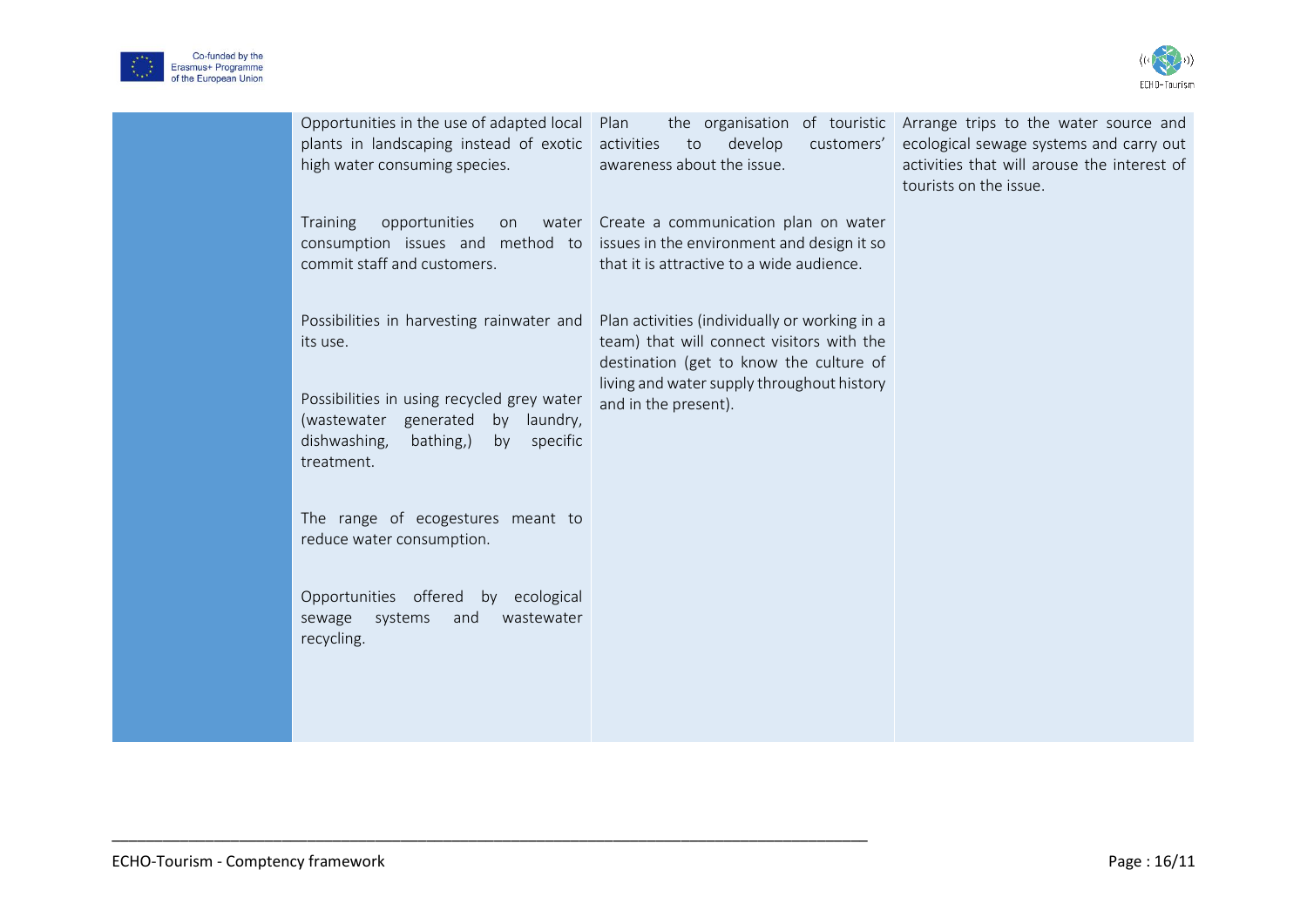



| Opportunities in the use of adapted local Plan<br>plants in landscaping instead of exotic<br>high water consuming species.                                                                                                                                                                                                                                             | activities<br>to<br>develop<br>awareness about the issue.                                                                                                                                                   | the organisation of touristic Arrange trips to the water source and<br>customers' ecological sewage systems and carry out<br>activities that will arouse the interest of<br>tourists on the issue. |
|------------------------------------------------------------------------------------------------------------------------------------------------------------------------------------------------------------------------------------------------------------------------------------------------------------------------------------------------------------------------|-------------------------------------------------------------------------------------------------------------------------------------------------------------------------------------------------------------|----------------------------------------------------------------------------------------------------------------------------------------------------------------------------------------------------|
| <b>Training</b><br>opportunities<br>on<br>commit staff and customers.                                                                                                                                                                                                                                                                                                  | water Create a communication plan on water<br>consumption issues and method to issues in the environment and design it so<br>that it is attractive to a wide audience.                                      |                                                                                                                                                                                                    |
| Possibilities in harvesting rainwater and<br>its use.<br>Possibilities in using recycled grey water<br>(wastewater generated<br>by laundry,<br>dishwashing,<br>bathing,)<br>by<br>specific<br>treatment.<br>The range of ecogestures meant to<br>reduce water consumption.<br>Opportunities offered by ecological<br>sewage systems<br>and<br>wastewater<br>recycling. | Plan activities (individually or working in a<br>team) that will connect visitors with the<br>destination (get to know the culture of<br>living and water supply throughout history<br>and in the present). |                                                                                                                                                                                                    |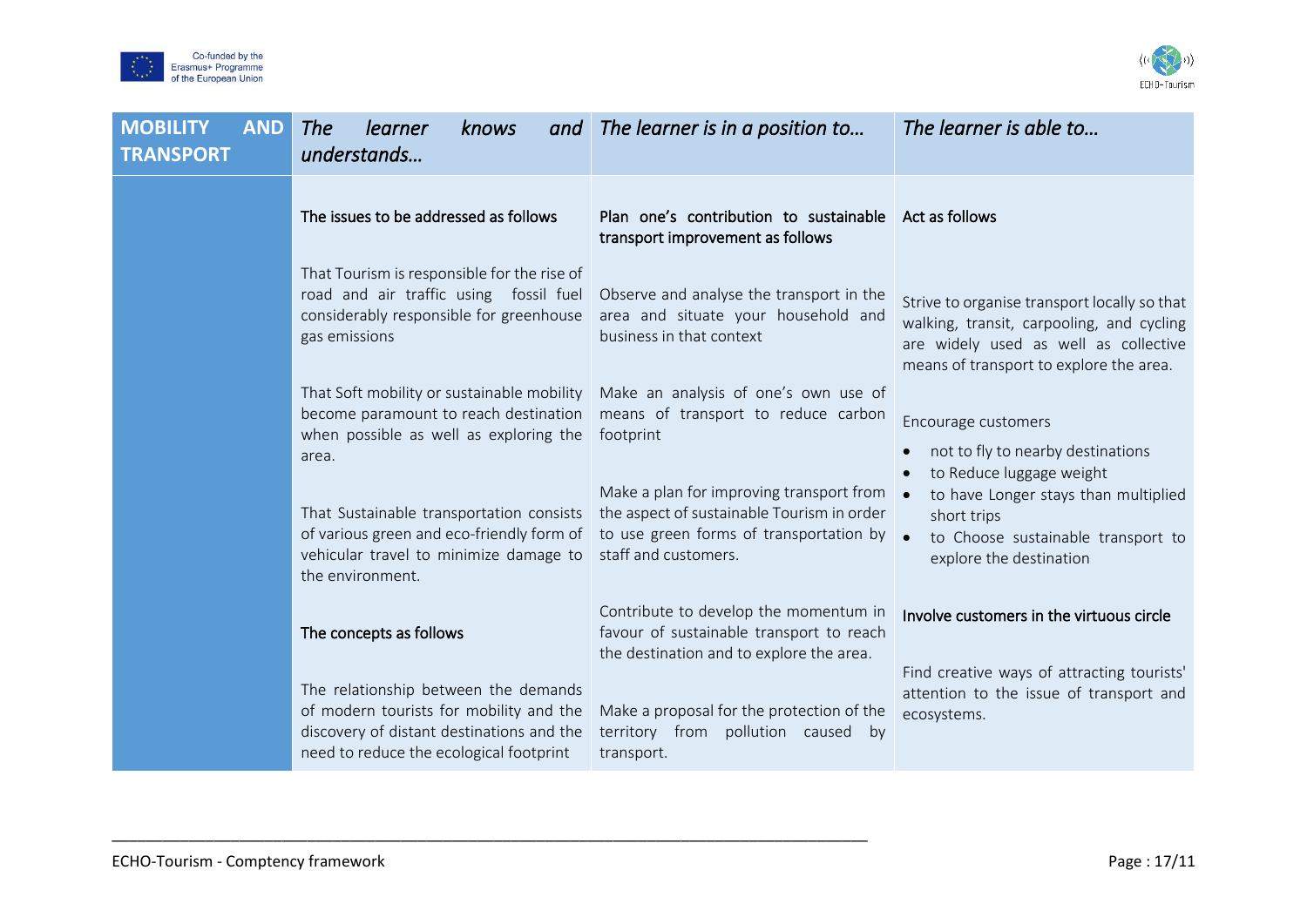



| <b>MOBILITY</b><br><b>AND</b><br><b>TRANSPORT</b> | learner<br>The<br>knows<br>and<br>understands                                                                                                                           | The learner is in a position to                                                                                                                           | The learner is able to                                                                                                                                                        |
|---------------------------------------------------|-------------------------------------------------------------------------------------------------------------------------------------------------------------------------|-----------------------------------------------------------------------------------------------------------------------------------------------------------|-------------------------------------------------------------------------------------------------------------------------------------------------------------------------------|
|                                                   | The issues to be addressed as follows                                                                                                                                   | Plan one's contribution to sustainable<br>transport improvement as follows                                                                                | Act as follows                                                                                                                                                                |
|                                                   | That Tourism is responsible for the rise of<br>road and air traffic using fossil fuel<br>considerably responsible for greenhouse<br>gas emissions                       | Observe and analyse the transport in the<br>area and situate your household and<br>business in that context                                               | Strive to organise transport locally so that<br>walking, transit, carpooling, and cycling<br>are widely used as well as collective<br>means of transport to explore the area. |
|                                                   | That Soft mobility or sustainable mobility<br>become paramount to reach destination<br>when possible as well as exploring the<br>area.                                  | Make an analysis of one's own use of<br>means of transport to reduce carbon<br>footprint                                                                  | Encourage customers<br>not to fly to nearby destinations                                                                                                                      |
|                                                   | That Sustainable transportation consists<br>of various green and eco-friendly form of<br>vehicular travel to minimize damage to<br>the environment.                     | Make a plan for improving transport from<br>the aspect of sustainable Tourism in order<br>to use green forms of transportation by<br>staff and customers. | to Reduce luggage weight<br>to have Longer stays than multiplied<br>short trips<br>$\bullet$<br>to Choose sustainable transport to<br>explore the destination                 |
|                                                   | The concepts as follows                                                                                                                                                 | Contribute to develop the momentum in<br>favour of sustainable transport to reach<br>the destination and to explore the area.                             | Involve customers in the virtuous circle                                                                                                                                      |
|                                                   | The relationship between the demands<br>of modern tourists for mobility and the<br>discovery of distant destinations and the<br>need to reduce the ecological footprint | Make a proposal for the protection of the<br>territory from pollution caused by<br>transport.                                                             | Find creative ways of attracting tourists'<br>attention to the issue of transport and<br>ecosystems.                                                                          |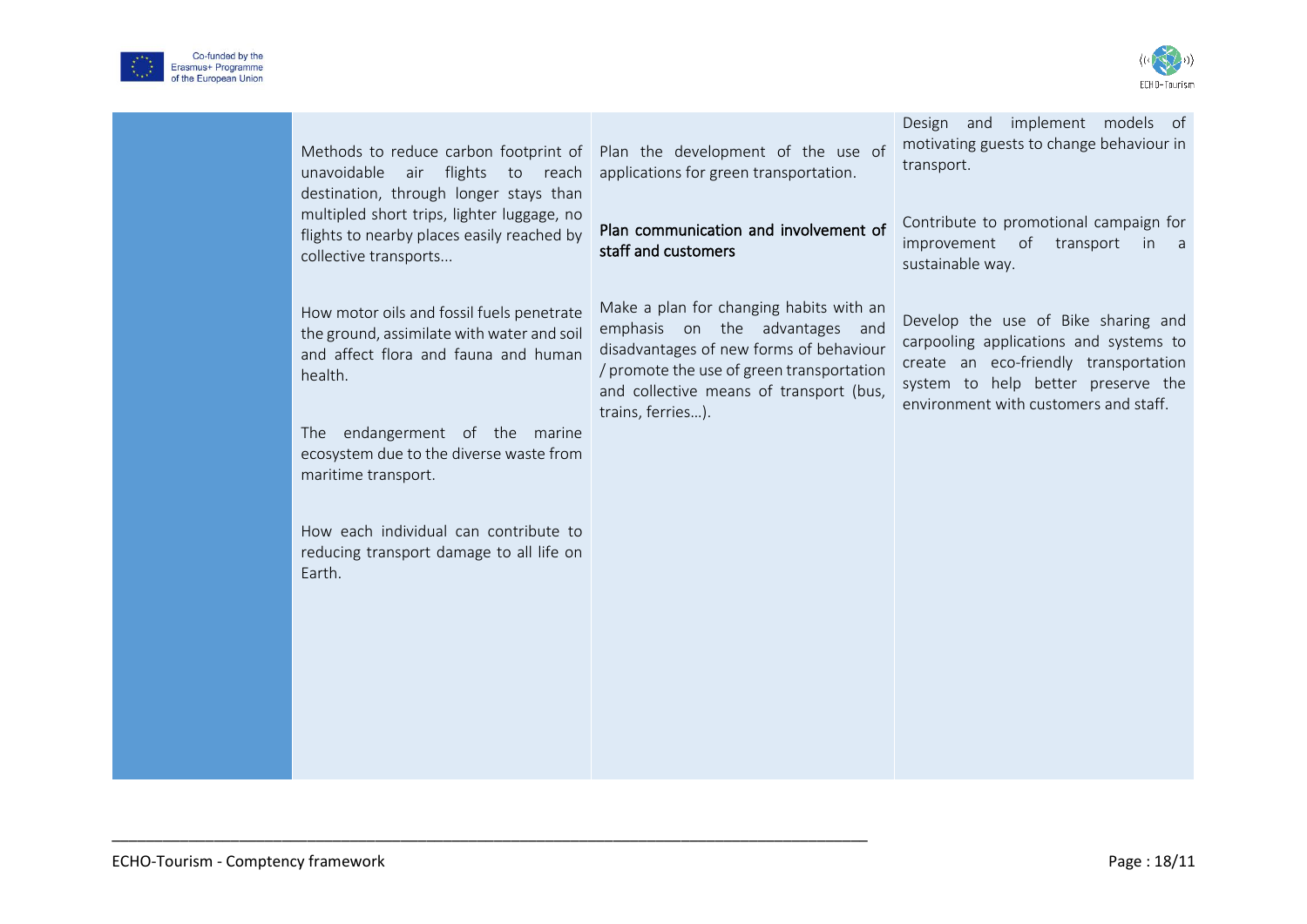



| Methods to reduce carbon footprint of<br>unavoidable air flights to reach<br>destination, through longer stays than<br>multipled short trips, lighter luggage, no<br>flights to nearby places easily reached by<br>collective transports                                                                                                      | Plan the development of the use of<br>applications for green transportation.<br>Plan communication and involvement of<br>staff and customers                                                                                      | Design and implement models of<br>motivating guests to change behaviour in<br>transport.<br>Contribute to promotional campaign for<br>improvement of<br>transport<br>in a<br>sustainable way.         |
|-----------------------------------------------------------------------------------------------------------------------------------------------------------------------------------------------------------------------------------------------------------------------------------------------------------------------------------------------|-----------------------------------------------------------------------------------------------------------------------------------------------------------------------------------------------------------------------------------|-------------------------------------------------------------------------------------------------------------------------------------------------------------------------------------------------------|
| How motor oils and fossil fuels penetrate<br>the ground, assimilate with water and soil<br>and affect flora and fauna and human<br>health.<br>The endangerment of the marine<br>ecosystem due to the diverse waste from<br>maritime transport.<br>How each individual can contribute to<br>reducing transport damage to all life on<br>Earth. | Make a plan for changing habits with an<br>emphasis on the advantages and<br>disadvantages of new forms of behaviour<br>/ promote the use of green transportation<br>and collective means of transport (bus,<br>trains, ferries). | Develop the use of Bike sharing and<br>carpooling applications and systems to<br>create an eco-friendly transportation<br>system to help better preserve the<br>environment with customers and staff. |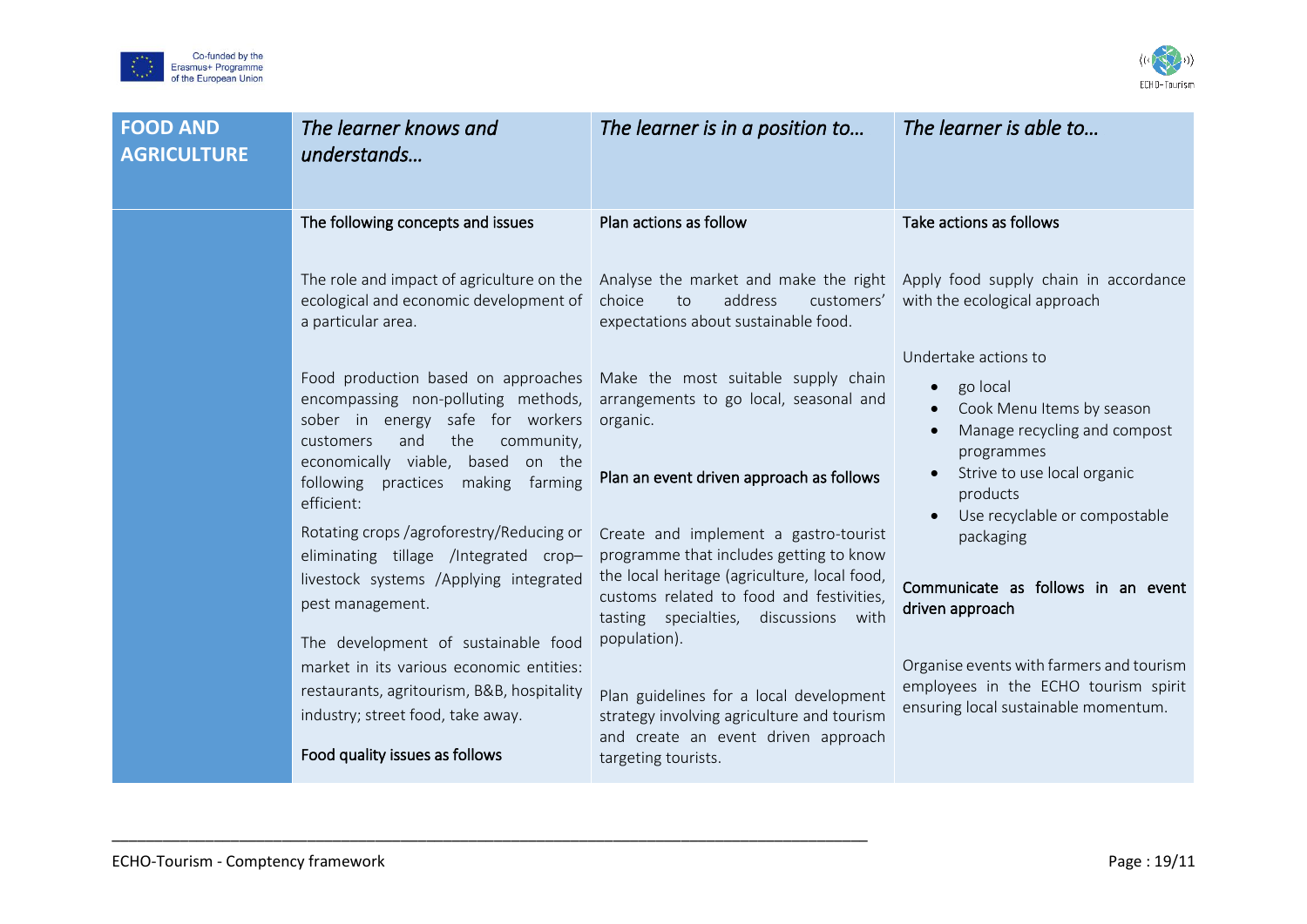



| <b>FOOD AND</b><br><b>AGRICULTURE</b> | The learner knows and<br>understands                                                                                                                                                                                                                                                                                                                                                                                                                                                                                                                                                                     | The learner is in a position to                                                                                                                                                                                                                                                                                                                                                                                                                                                                                                                                          | The learner is able to                                                                                                                                                                                                                                                                                                                |
|---------------------------------------|----------------------------------------------------------------------------------------------------------------------------------------------------------------------------------------------------------------------------------------------------------------------------------------------------------------------------------------------------------------------------------------------------------------------------------------------------------------------------------------------------------------------------------------------------------------------------------------------------------|--------------------------------------------------------------------------------------------------------------------------------------------------------------------------------------------------------------------------------------------------------------------------------------------------------------------------------------------------------------------------------------------------------------------------------------------------------------------------------------------------------------------------------------------------------------------------|---------------------------------------------------------------------------------------------------------------------------------------------------------------------------------------------------------------------------------------------------------------------------------------------------------------------------------------|
|                                       | The following concepts and issues<br>The role and impact of agriculture on the<br>ecological and economic development of<br>a particular area.<br>Food production based on approaches<br>encompassing non-polluting methods,<br>sober in energy safe for workers<br>and<br>the<br>community,<br>customers<br>economically viable, based<br>on the<br>making<br>following<br>practices<br>farming<br>efficient:<br>Rotating crops /agroforestry/Reducing or<br>eliminating tillage /Integrated crop-<br>livestock systems /Applying integrated<br>pest management.<br>The development of sustainable food | Plan actions as follow<br>Analyse the market and make the right Apply food supply chain in accordance<br>choice<br>address<br>customers'<br>to<br>expectations about sustainable food.<br>Make the most suitable supply chain<br>arrangements to go local, seasonal and<br>organic.<br>Plan an event driven approach as follows<br>Create and implement a gastro-tourist<br>programme that includes getting to know<br>the local heritage (agriculture, local food,<br>customs related to food and festivities,<br>tasting specialties, discussions with<br>population). | Take actions as follows<br>with the ecological approach<br>Undertake actions to<br>go local<br>$\bullet$<br>Cook Menu Items by season<br>Manage recycling and compost<br>programmes<br>Strive to use local organic<br>products<br>Use recyclable or compostable<br>packaging<br>Communicate as follows in an event<br>driven approach |
|                                       | market in its various economic entities:<br>restaurants, agritourism, B&B, hospitality<br>industry; street food, take away.<br>Food quality issues as follows                                                                                                                                                                                                                                                                                                                                                                                                                                            | Plan guidelines for a local development<br>strategy involving agriculture and tourism<br>and create an event driven approach<br>targeting tourists.                                                                                                                                                                                                                                                                                                                                                                                                                      | Organise events with farmers and tourism<br>employees in the ECHO tourism spirit<br>ensuring local sustainable momentum.                                                                                                                                                                                                              |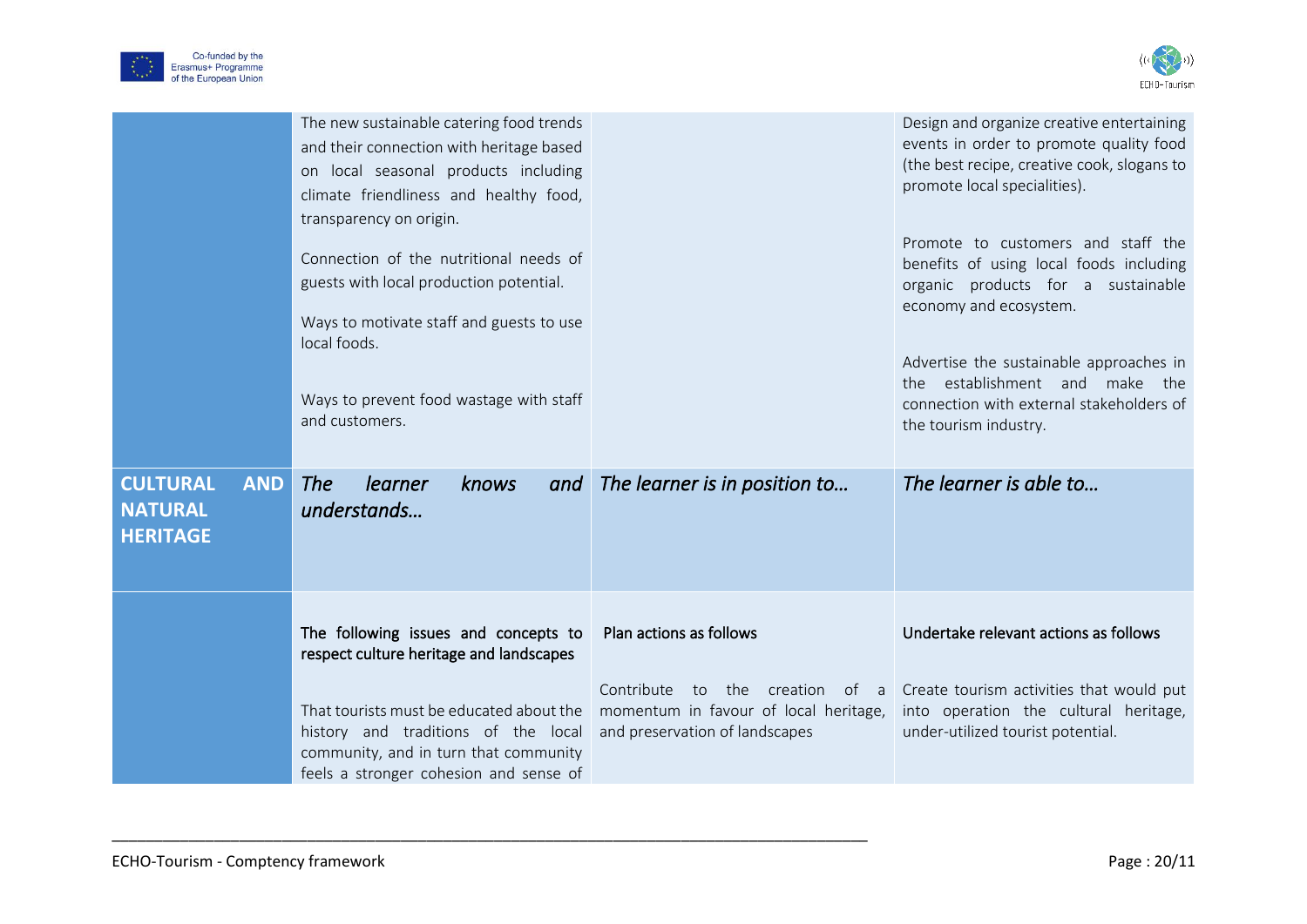



|                                                                    | The new sustainable catering food trends<br>and their connection with heritage based<br>on local seasonal products including<br>climate friendliness and healthy food,<br>transparency on origin.<br>Connection of the nutritional needs of<br>guests with local production potential.<br>Ways to motivate staff and guests to use<br>local foods.<br>Ways to prevent food wastage with staff<br>and customers. |                                                                                                                  | Design and organize creative entertaining<br>events in order to promote quality food<br>(the best recipe, creative cook, slogans to<br>promote local specialities).<br>Promote to customers and staff the<br>benefits of using local foods including<br>organic products for a sustainable<br>economy and ecosystem.<br>Advertise the sustainable approaches in<br>the establishment and make<br>the<br>connection with external stakeholders of<br>the tourism industry. |
|--------------------------------------------------------------------|-----------------------------------------------------------------------------------------------------------------------------------------------------------------------------------------------------------------------------------------------------------------------------------------------------------------------------------------------------------------------------------------------------------------|------------------------------------------------------------------------------------------------------------------|---------------------------------------------------------------------------------------------------------------------------------------------------------------------------------------------------------------------------------------------------------------------------------------------------------------------------------------------------------------------------------------------------------------------------------------------------------------------------|
| <b>CULTURAL</b><br><b>AND</b><br><b>NATURAL</b><br><b>HERITAGE</b> | <b>The</b><br>learner<br>knows<br>and<br>understands                                                                                                                                                                                                                                                                                                                                                            | The learner is in position to                                                                                    | The learner is able to                                                                                                                                                                                                                                                                                                                                                                                                                                                    |
|                                                                    | The following issues and concepts to<br>respect culture heritage and landscapes                                                                                                                                                                                                                                                                                                                                 | Plan actions as follows                                                                                          | Undertake relevant actions as follows                                                                                                                                                                                                                                                                                                                                                                                                                                     |
|                                                                    | That tourists must be educated about the<br>history and traditions of the local<br>community, and in turn that community<br>feels a stronger cohesion and sense of                                                                                                                                                                                                                                              | Contribute<br>the creation of a<br>to<br>momentum in favour of local heritage,<br>and preservation of landscapes | Create tourism activities that would put<br>into operation the cultural heritage,<br>under-utilized tourist potential.                                                                                                                                                                                                                                                                                                                                                    |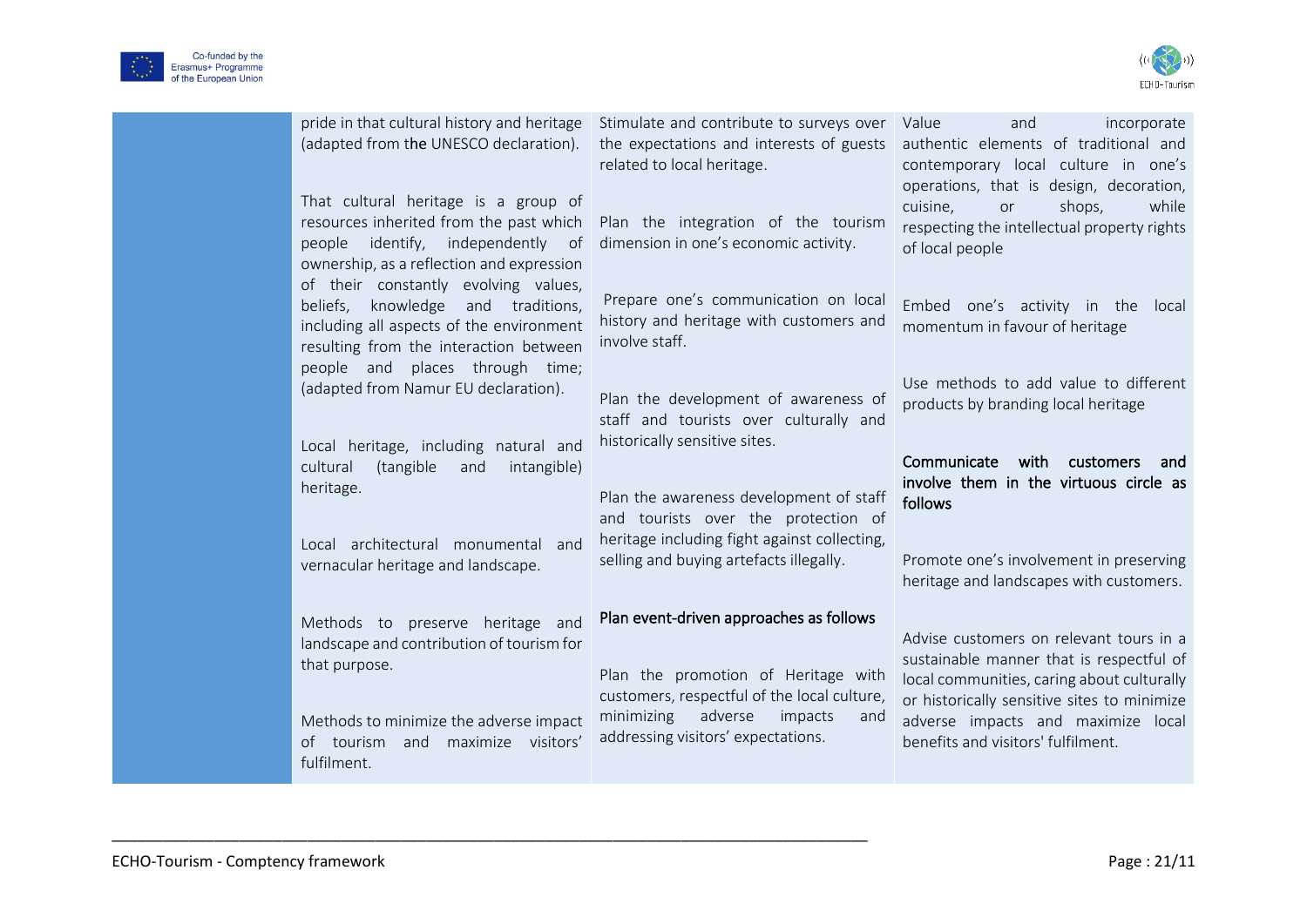



| pride in that cultural history and heritage<br>(adapted from the UNESCO declaration).<br>That cultural heritage is a group of<br>resources inherited from the past which<br>identify, independently of<br>people<br>ownership, as a reflection and expression | Stimulate and contribute to surveys over<br>the expectations and interests of guests<br>related to local heritage.<br>Plan the integration of the tourism<br>dimension in one's economic activity. | incorporate<br>Value<br>and<br>authentic elements of traditional and<br>contemporary local culture in one's<br>operations, that is design, decoration,<br>cuisine,<br>shops,<br>while<br>or<br>respecting the intellectual property rights<br>of local people |
|---------------------------------------------------------------------------------------------------------------------------------------------------------------------------------------------------------------------------------------------------------------|----------------------------------------------------------------------------------------------------------------------------------------------------------------------------------------------------|---------------------------------------------------------------------------------------------------------------------------------------------------------------------------------------------------------------------------------------------------------------|
| of their constantly evolving values,<br>knowledge and traditions,<br>beliefs,<br>including all aspects of the environment<br>resulting from the interaction between<br>places through time;<br>people and                                                     | Prepare one's communication on local<br>history and heritage with customers and<br>involve staff.                                                                                                  | Embed one's activity in the<br>local<br>momentum in favour of heritage                                                                                                                                                                                        |
| (adapted from Namur EU declaration).<br>Local heritage, including natural and                                                                                                                                                                                 | Plan the development of awareness of<br>staff and tourists over culturally and<br>historically sensitive sites.                                                                                    | Use methods to add value to different<br>products by branding local heritage                                                                                                                                                                                  |
| (tangible<br>cultural<br>and<br>intangible)<br>heritage.                                                                                                                                                                                                      | Plan the awareness development of staff<br>and tourists over the protection of                                                                                                                     | Communicate<br>with<br>customers<br>and<br>involve them in the virtuous circle as<br>follows                                                                                                                                                                  |
| Local architectural monumental and<br>vernacular heritage and landscape.                                                                                                                                                                                      | heritage including fight against collecting,<br>selling and buying artefacts illegally.                                                                                                            | Promote one's involvement in preserving<br>heritage and landscapes with customers.                                                                                                                                                                            |
| Methods to preserve heritage and<br>landscape and contribution of tourism for<br>that purpose.<br>Methods to minimize the adverse impact                                                                                                                      | Plan event-driven approaches as follows<br>Plan the promotion of Heritage with<br>customers, respectful of the local culture,<br>minimizing<br>adverse<br>impacts<br>and                           | Advise customers on relevant tours in a<br>sustainable manner that is respectful of<br>local communities, caring about culturally<br>or historically sensitive sites to minimize<br>adverse impacts and maximize local                                        |
| of tourism and<br>maximize visitors'<br>fulfilment.                                                                                                                                                                                                           | addressing visitors' expectations.                                                                                                                                                                 | benefits and visitors' fulfilment.                                                                                                                                                                                                                            |